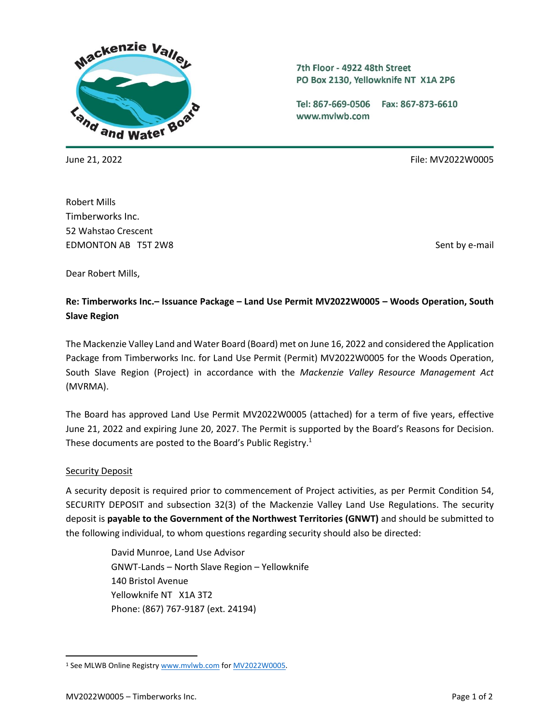

7th Floor - 4922 48th Street PO Box 2130, Yellowknife NT X1A 2P6

Tel: 867-669-0506 Fax: 867-873-6610 www.mvlwb.com

June 21, 2022 File: MV2022W0005

Robert Mills Timberworks Inc. 52 Wahstao Crescent EDMONTON AB T5T 2W8 Sent by e-mail

Dear Robert Mills,

# **Re: Timberworks Inc.– Issuance Package – Land Use Permit MV2022W0005 – Woods Operation, South Slave Region**

The Mackenzie Valley Land and Water Board (Board) met on June 16, 2022 and considered the Application Package from Timberworks Inc. for Land Use Permit (Permit) MV2022W0005 for the Woods Operation, South Slave Region (Project) in accordance with the *Mackenzie Valley Resource Management Act*  (MVRMA).

The Board has approved Land Use Permit MV2022W0005 (attached) for a term of five years, effective June 21, 2022 and expiring June 20, 2027. The Permit is supported by the Board's Reasons for Decision. These documents are posted to the Board's Public Registry.<sup>1</sup>

### **Security Deposit**

A security deposit is required prior to commencement of Project activities, as per Permit Condition 54, SECURITY DEPOSIT and subsection 32(3) of the Mackenzie Valley Land Use Regulations. The security deposit is **payable to the Government of the Northwest Territories (GNWT)** and should be submitted to the following individual, to whom questions regarding security should also be directed:

> David Munroe, Land Use Advisor GNWT-Lands – North Slave Region – Yellowknife 140 Bristol Avenue Yellowknife NT X1A 3T2 Phone: (867) 767-9187 (ext. 24194)

<sup>&</sup>lt;sup>1</sup> See MLWB Online Registry [www.mvlwb.com](http://www.mvlwb.com/) fo[r MV2022W0005.](https://mvlwb.com/registry/MV2022W0005)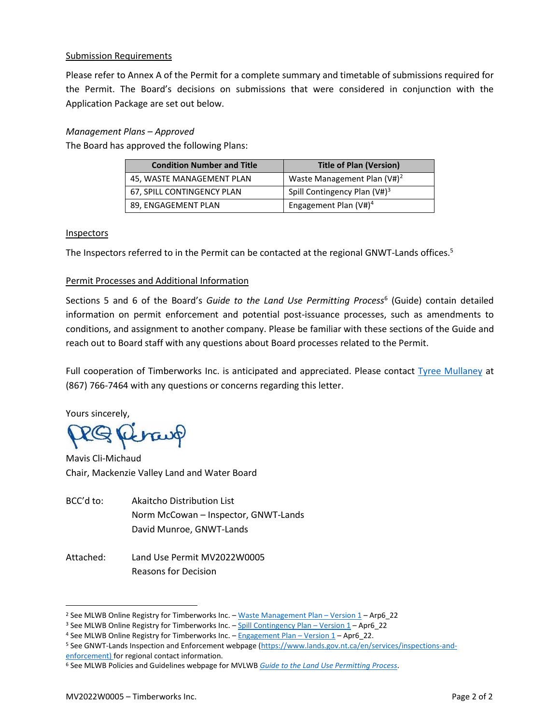### Submission Requirements

Please refer to Annex A of the Permit for a complete summary and timetable of submissions required for the Permit. The Board's decisions on submissions that were considered in conjunction with the Application Package are set out below.

### *Management Plans – Approved*

The Board has approved the following Plans:

| <b>Condition Number and Title</b> | <b>Title of Plan (Version)</b>  |
|-----------------------------------|---------------------------------|
| 45, WASTE MANAGEMENT PLAN         | Waste Management Plan $(V#)^2$  |
| 67, SPILL CONTINGENCY PLAN        | Spill Contingency Plan $(V#)^3$ |
| 89, ENGAGEMENT PLAN               | Engagement Plan $(V#)^4$        |

#### Inspectors

The Inspectors referred to in the Permit can be contacted at the regional GNWT-Lands offices.<sup>5</sup>

## Permit Processes and Additional Information

Sections 5 and 6 of the Board's Guide to the Land Use Permitting Process<sup>6</sup> (Guide) contain detailed information on permit enforcement and potential post-issuance processes, such as amendments to conditions, and assignment to another company. Please be familiar with these sections of the Guide and reach out to Board staff with any questions about Board processes related to the Permit.

Full cooperation of Timberworks Inc. is anticipated and appreciated. Please contact [Tyree Mullaney](mailto:tyree@mvlwb.com) at (867) 766-7464 with any questions or concerns regarding this letter.

Yours sincerely,

2G Revaux

Mavis Cli-Michaud Chair, Mackenzie Valley Land and Water Board

- BCC'd to: Akaitcho Distribution List Norm McCowan – Inspector, GNWT-Lands David Munroe, GNWT-Lands
- Attached: Land Use Permit MV2022W0005 Reasons for Decision

<sup>&</sup>lt;sup>2</sup> See MLWB Online Registry for Timberworks Inc. - [Waste Management Plan](https://registry.mvlwb.ca/Documents/MV2022W0005/Timberworks%20-%20Waste%20Management%20Plan%20-%20Apr6_22.pdf) - Version 1 - Arp6 22

<sup>&</sup>lt;sup>3</sup> See MLWB Online Registry for Timberworks Inc. – [Spill Contingency Plan](https://registry.mvlwb.ca/Documents/MV2022W0005/Timberworks%20-%20Spill%20Contingency%20Plan%20-%20Apr6_22.pdf) – Version  $1 -$  Apr6 22

<sup>&</sup>lt;sup>4</sup> See MLWB Online Registry for Timberworks Inc. - [Engagement Plan](https://registry.mvlwb.ca/Documents/MV2022W0005/Timberworks%20-%20Engagement%20Plan%20-%20Apr6_22.pdf) - Version 1 - Apr6\_22.

<sup>5</sup> See GNWT-Lands Inspection and Enforcement webpage [\(https://www.lands.gov.nt.ca/en/services/inspections-and](https://www.lands.gov.nt.ca/en/services/inspections-and-enforcement)[enforcement\)](https://www.lands.gov.nt.ca/en/services/inspections-and-enforcement) for regional contact information.

<sup>6</sup> See MLWB Policies and Guidelines webpage for MVLWB *[Guide to the Land Use Permitting Process](https://mvlwb.com/sites/default/files/2021-08/LWB%20Guide%20to%20the%20Land%20Use%20Permitting%20Process%20-%20FINAL%20-%20Aug%2030_21.pdf)*.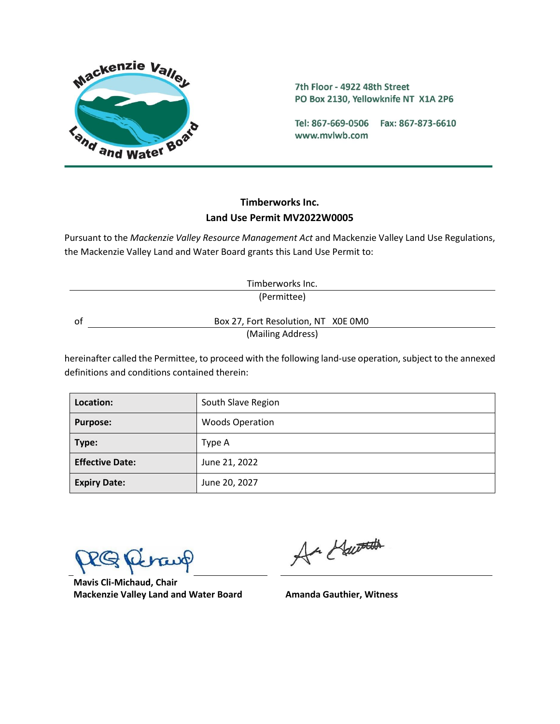

7th Floor - 4922 48th Street PO Box 2130, Yellowknife NT X1A 2P6

Tel: 867-669-0506 Fax: 867-873-6610 www.mvlwb.com

# **Timberworks Inc. Land Use Permit MV2022W0005**

Pursuant to the *Mackenzie Valley Resource Management Act* and Mackenzie Valley Land Use Regulations, the Mackenzie Valley Land and Water Board grants this Land Use Permit to:

|    | Timberworks Inc.                    |  |
|----|-------------------------------------|--|
|    | (Permittee)                         |  |
| ОT | Box 27, Fort Resolution, NT X0E 0M0 |  |
|    | (Mailing Address)                   |  |

hereinafter called the Permittee, to proceed with the following land-use operation, subject to the annexed definitions and conditions contained therein:

| Location:              | South Slave Region     |
|------------------------|------------------------|
| <b>Purpose:</b>        | <b>Woods Operation</b> |
| Type:                  | Type A                 |
| <b>Effective Date:</b> | June 21, 2022          |
| <b>Expiry Date:</b>    | June 20, 2027          |

**Mavis Cli-Michaud, Chair Mackenzie Valley Land and Water Board Amanda Gauthier, Witness**

Ar Hawards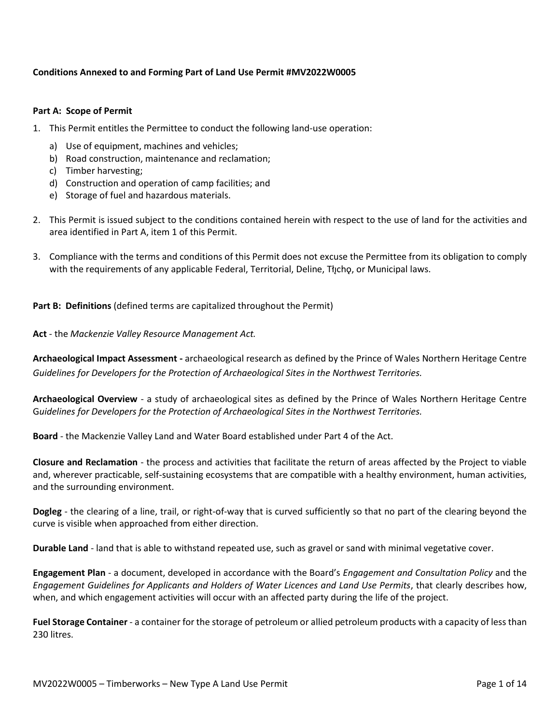### **Conditions Annexed to and Forming Part of Land Use Permit #MV2022W0005**

#### **Part A: Scope of Permit**

- 1. This Permit entitles the Permittee to conduct the following land-use operation:
	- a) Use of equipment, machines and vehicles;
	- b) Road construction, maintenance and reclamation;
	- c) Timber harvesting;
	- d) Construction and operation of camp facilities; and
	- e) Storage of fuel and hazardous materials.
- 2. This Permit is issued subject to the conditions contained herein with respect to the use of land for the activities and area identified in Part A, item 1 of this Permit.
- 3. Compliance with the terms and conditions of this Permit does not excuse the Permittee from its obligation to comply with the requirements of any applicable Federal, Territorial, Deline, Tłycho, or Municipal laws.

#### **Part B: Definitions** (defined terms are capitalized throughout the Permit)

**Act** - the *Mackenzie Valley Resource Management Act.*

**Archaeological Impact Assessment -** archaeological research as defined by the Prince of Wales Northern Heritage Centre *Guidelines for Developers for the Protection of Archaeological Sites in the Northwest Territories.*

**Archaeological Overview** - a study of archaeological sites as defined by the Prince of Wales Northern Heritage Centre G*uidelines for Developers for the Protection of Archaeological Sites in the Northwest Territories.*

**Board** - the Mackenzie Valley Land and Water Board established under Part 4 of the Act.

**Closure and Reclamation** - the process and activities that facilitate the return of areas affected by the Project to viable and, wherever practicable, self-sustaining ecosystems that are compatible with a healthy environment, human activities, and the surrounding environment.

**Dogleg** - the clearing of a line, trail, or right-of-way that is curved sufficiently so that no part of the clearing beyond the curve is visible when approached from either direction.

**Durable Land** - land that is able to withstand repeated use, such as gravel or sand with minimal vegetative cover.

**Engagement Plan** - a document, developed in accordance with the Board's *Engagement and Consultation Policy* and the *Engagement Guidelines for Applicants and Holders of Water Licences and Land Use Permits*, that clearly describes how, when, and which engagement activities will occur with an affected party during the life of the project.

**Fuel Storage Container** - a container for the storage of petroleum or allied petroleum products with a capacity of less than 230 litres.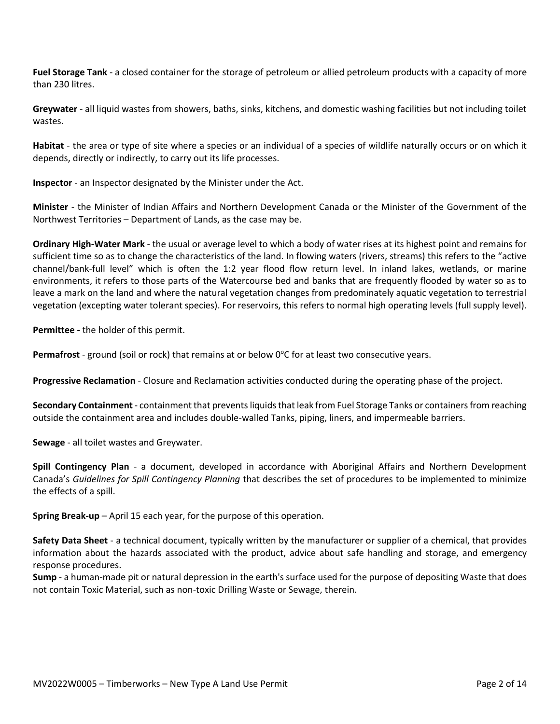**Fuel Storage Tank** - a closed container for the storage of petroleum or allied petroleum products with a capacity of more than 230 litres.

**Greywater** - all liquid wastes from showers, baths, sinks, kitchens, and domestic washing facilities but not including toilet wastes.

**Habitat** - the area or type of site where a species or an individual of a species of wildlife naturally occurs or on which it depends, directly or indirectly, to carry out its life processes.

**Inspector** - an Inspector designated by the Minister under the Act.

**Minister** - the Minister of Indian Affairs and Northern Development Canada or the Minister of the Government of the Northwest Territories – Department of Lands, as the case may be.

**Ordinary High-Water Mark** - the usual or average level to which a body of water rises at its highest point and remains for sufficient time so as to change the characteristics of the land. In flowing waters (rivers, streams) this refers to the "active channel/bank-full level" which is often the 1:2 year flood flow return level. In inland lakes, wetlands, or marine environments, it refers to those parts of the Watercourse bed and banks that are frequently flooded by water so as to leave a mark on the land and where the natural vegetation changes from predominately aquatic vegetation to terrestrial vegetation (excepting water tolerant species). For reservoirs, this refers to normal high operating levels (full supply level).

**Permittee -** the holder of this permit.

**Permafrost** - ground (soil or rock) that remains at or below 0°C for at least two consecutive years.

**Progressive Reclamation** - Closure and Reclamation activities conducted during the operating phase of the project.

**Secondary Containment** - containment that prevents liquids that leak from Fuel Storage Tanks or containers from reaching outside the containment area and includes double-walled Tanks, piping, liners, and impermeable barriers.

**Sewage** - all toilet wastes and Greywater.

**Spill Contingency Plan** - a document, developed in accordance with Aboriginal Affairs and Northern Development Canada's *Guidelines for Spill Contingency Planning* that describes the set of procedures to be implemented to minimize the effects of a spill.

**Spring Break-up** – April 15 each year, for the purpose of this operation.

**Safety Data Sheet** - a technical document, typically written by the manufacturer or supplier of a chemical, that provides information about the hazards associated with the product, advice about safe handling and storage, and emergency response procedures.

**Sump** - a human-made pit or natural depression in the earth's surface used for the purpose of depositing Waste that does not contain Toxic Material, such as non-toxic Drilling Waste or Sewage, therein.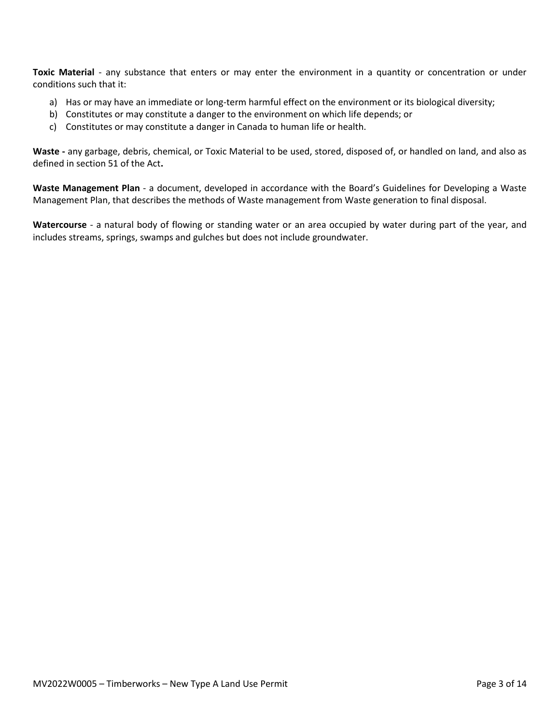**Toxic Material** - any substance that enters or may enter the environment in a quantity or concentration or under conditions such that it:

- a) Has or may have an immediate or long-term harmful effect on the environment or its biological diversity;
- b) Constitutes or may constitute a danger to the environment on which life depends; or
- c) Constitutes or may constitute a danger in Canada to human life or health.

**Waste -** any garbage, debris, chemical, or Toxic Material to be used, stored, disposed of, or handled on land, and also as defined in section 51 of the Act**.**

**Waste Management Plan** - a document, developed in accordance with the Board's Guidelines for Developing a Waste Management Plan, that describes the methods of Waste management from Waste generation to final disposal.

**Watercourse** - a natural body of flowing or standing water or an area occupied by water during part of the year, and includes streams, springs, swamps and gulches but does not include groundwater.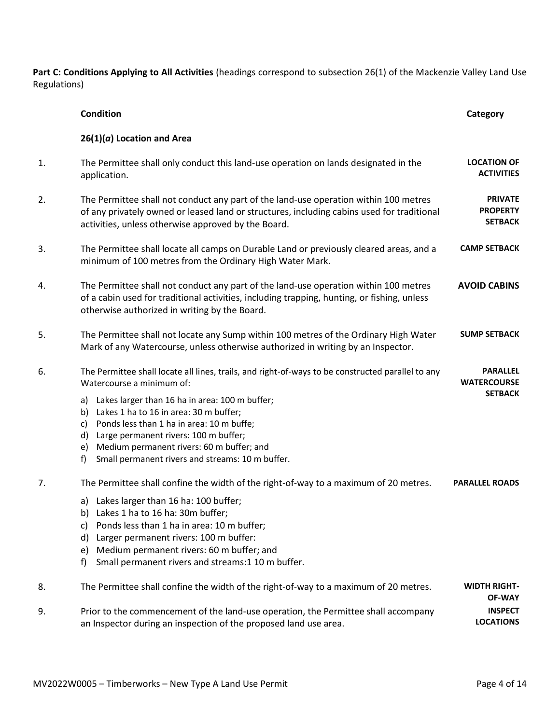**Part C: Conditions Applying to All Activities** (headings correspond to subsection 26(1) of the Mackenzie Valley Land Use Regulations)

|    | <b>Condition</b>                                                                                                                                                                                                                                                                                                                                                                                                                                | Category                                                |
|----|-------------------------------------------------------------------------------------------------------------------------------------------------------------------------------------------------------------------------------------------------------------------------------------------------------------------------------------------------------------------------------------------------------------------------------------------------|---------------------------------------------------------|
|    | $26(1)(a)$ Location and Area                                                                                                                                                                                                                                                                                                                                                                                                                    |                                                         |
| 1. | The Permittee shall only conduct this land-use operation on lands designated in the<br>application.                                                                                                                                                                                                                                                                                                                                             | <b>LOCATION OF</b><br><b>ACTIVITIES</b>                 |
| 2. | The Permittee shall not conduct any part of the land-use operation within 100 metres<br>of any privately owned or leased land or structures, including cabins used for traditional<br>activities, unless otherwise approved by the Board.                                                                                                                                                                                                       | <b>PRIVATE</b><br><b>PROPERTY</b><br><b>SETBACK</b>     |
| 3. | The Permittee shall locate all camps on Durable Land or previously cleared areas, and a<br>minimum of 100 metres from the Ordinary High Water Mark.                                                                                                                                                                                                                                                                                             | <b>CAMP SETBACK</b>                                     |
| 4. | The Permittee shall not conduct any part of the land-use operation within 100 metres<br>of a cabin used for traditional activities, including trapping, hunting, or fishing, unless<br>otherwise authorized in writing by the Board.                                                                                                                                                                                                            | <b>AVOID CABINS</b>                                     |
| 5. | The Permittee shall not locate any Sump within 100 metres of the Ordinary High Water<br>Mark of any Watercourse, unless otherwise authorized in writing by an Inspector.                                                                                                                                                                                                                                                                        | <b>SUMP SETBACK</b>                                     |
| 6. | The Permittee shall locate all lines, trails, and right-of-ways to be constructed parallel to any<br>Watercourse a minimum of:<br>a) Lakes larger than 16 ha in area: 100 m buffer;<br>b) Lakes 1 ha to 16 in area: 30 m buffer;<br>Ponds less than 1 ha in area: 10 m buffe;<br>c)<br>Large permanent rivers: 100 m buffer;<br>d)<br>Medium permanent rivers: 60 m buffer; and<br>e)<br>Small permanent rivers and streams: 10 m buffer.<br>f) | <b>PARALLEL</b><br><b>WATERCOURSE</b><br><b>SETBACK</b> |
| 7. | The Permittee shall confine the width of the right-of-way to a maximum of 20 metres.<br>a) Lakes larger than 16 ha: 100 buffer;<br>b) Lakes 1 ha to 16 ha: 30m buffer;<br>c) Ponds less than 1 ha in area: 10 m buffer;<br>Larger permanent rivers: 100 m buffer:<br>d)<br>Medium permanent rivers: 60 m buffer; and<br>e)<br>Small permanent rivers and streams:1 10 m buffer.<br>f)                                                           | <b>PARALLEL ROADS</b>                                   |
| 8. | The Permittee shall confine the width of the right-of-way to a maximum of 20 metres.                                                                                                                                                                                                                                                                                                                                                            | <b>WIDTH RIGHT-</b><br><b>OF-WAY</b>                    |
| 9. | Prior to the commencement of the land-use operation, the Permittee shall accompany<br>an Inspector during an inspection of the proposed land use area.                                                                                                                                                                                                                                                                                          | <b>INSPECT</b><br><b>LOCATIONS</b>                      |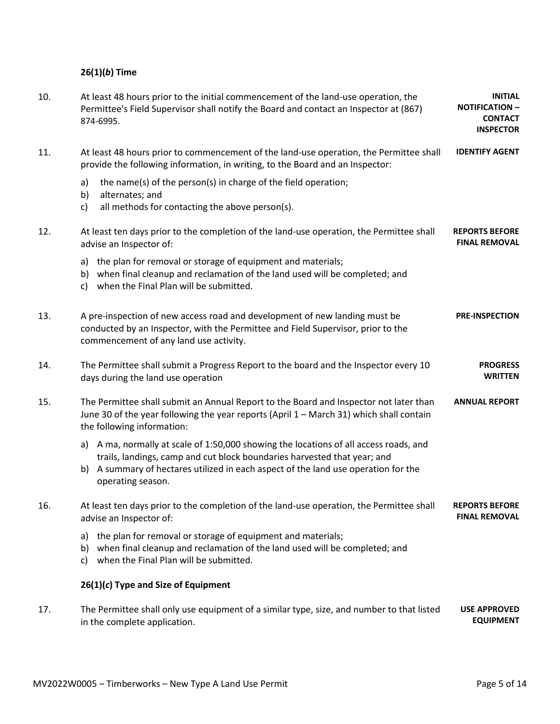# **26(1)(***b***) Time**

| 10. | At least 48 hours prior to the initial commencement of the land-use operation, the<br>Permittee's Field Supervisor shall notify the Board and contact an Inspector at (867)<br>874-6995.                                                                                     | <b>INITIAL</b><br><b>NOTIFICATION -</b><br><b>CONTACT</b><br><b>INSPECTOR</b> |
|-----|------------------------------------------------------------------------------------------------------------------------------------------------------------------------------------------------------------------------------------------------------------------------------|-------------------------------------------------------------------------------|
| 11. | At least 48 hours prior to commencement of the land-use operation, the Permittee shall<br>provide the following information, in writing, to the Board and an Inspector:                                                                                                      | <b>IDENTIFY AGENT</b>                                                         |
|     | the name(s) of the person(s) in charge of the field operation;<br>a)<br>b)<br>alternates; and<br>all methods for contacting the above person(s).<br>c)                                                                                                                       |                                                                               |
| 12. | At least ten days prior to the completion of the land-use operation, the Permittee shall<br>advise an Inspector of:                                                                                                                                                          | <b>REPORTS BEFORE</b><br><b>FINAL REMOVAL</b>                                 |
|     | a) the plan for removal or storage of equipment and materials;<br>b) when final cleanup and reclamation of the land used will be completed; and<br>c) when the Final Plan will be submitted.                                                                                 |                                                                               |
| 13. | A pre-inspection of new access road and development of new landing must be<br>conducted by an Inspector, with the Permittee and Field Supervisor, prior to the<br>commencement of any land use activity.                                                                     | <b>PRE-INSPECTION</b>                                                         |
| 14. | The Permittee shall submit a Progress Report to the board and the Inspector every 10<br>days during the land use operation                                                                                                                                                   | <b>PROGRESS</b><br><b>WRITTEN</b>                                             |
| 15. | The Permittee shall submit an Annual Report to the Board and Inspector not later than<br>June 30 of the year following the year reports (April 1 - March 31) which shall contain<br>the following information:                                                               | <b>ANNUAL REPORT</b>                                                          |
|     | a) A ma, normally at scale of 1:50,000 showing the locations of all access roads, and<br>trails, landings, camp and cut block boundaries harvested that year; and<br>b) A summary of hectares utilized in each aspect of the land use operation for the<br>operating season. |                                                                               |
| 16. | At least ten days prior to the completion of the land-use operation, the Permittee shall<br>advise an Inspector of:                                                                                                                                                          | <b>REPORTS BEFORE</b><br><b>FINAL REMOVAL</b>                                 |
|     | the plan for removal or storage of equipment and materials;<br>a)<br>b) when final cleanup and reclamation of the land used will be completed; and<br>when the Final Plan will be submitted.<br>C)                                                                           |                                                                               |
|     | $26(1)(c)$ Type and Size of Equipment                                                                                                                                                                                                                                        |                                                                               |
| 17. | The Permittee shall only use equipment of a similar type, size, and number to that listed<br>in the complete application.                                                                                                                                                    | <b>USE APPROVED</b><br><b>EQUIPMENT</b>                                       |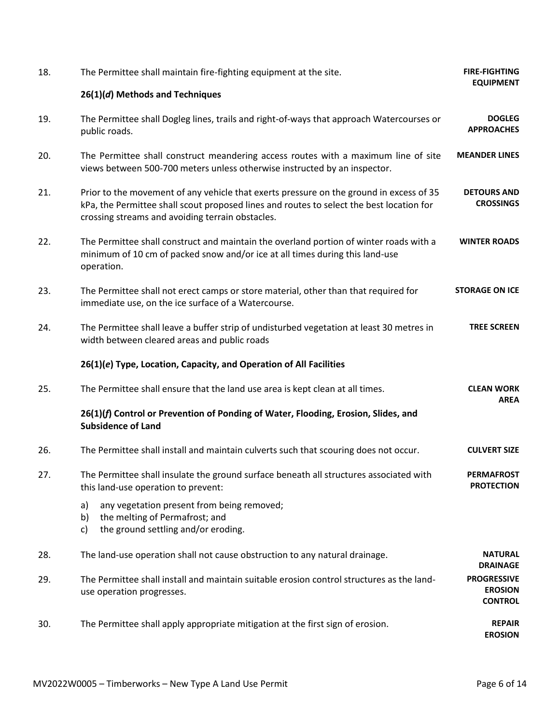| 18. | The Permittee shall maintain fire-fighting equipment at the site.                                                                                                                                                                       | <b>FIRE-FIGHTING</b><br><b>EQUIPMENT</b>               |
|-----|-----------------------------------------------------------------------------------------------------------------------------------------------------------------------------------------------------------------------------------------|--------------------------------------------------------|
|     | 26(1)(d) Methods and Techniques                                                                                                                                                                                                         |                                                        |
| 19. | The Permittee shall Dogleg lines, trails and right-of-ways that approach Watercourses or<br>public roads.                                                                                                                               | <b>DOGLEG</b><br><b>APPROACHES</b>                     |
| 20. | The Permittee shall construct meandering access routes with a maximum line of site<br>views between 500-700 meters unless otherwise instructed by an inspector.                                                                         | <b>MEANDER LINES</b>                                   |
| 21. | Prior to the movement of any vehicle that exerts pressure on the ground in excess of 35<br>kPa, the Permittee shall scout proposed lines and routes to select the best location for<br>crossing streams and avoiding terrain obstacles. | <b>DETOURS AND</b><br><b>CROSSINGS</b>                 |
| 22. | The Permittee shall construct and maintain the overland portion of winter roads with a<br>minimum of 10 cm of packed snow and/or ice at all times during this land-use<br>operation.                                                    | <b>WINTER ROADS</b>                                    |
| 23. | The Permittee shall not erect camps or store material, other than that required for<br>immediate use, on the ice surface of a Watercourse.                                                                                              | <b>STORAGE ON ICE</b>                                  |
| 24. | The Permittee shall leave a buffer strip of undisturbed vegetation at least 30 metres in<br>width between cleared areas and public roads                                                                                                | <b>TREE SCREEN</b>                                     |
|     | 26(1)(e) Type, Location, Capacity, and Operation of All Facilities                                                                                                                                                                      |                                                        |
| 25. | The Permittee shall ensure that the land use area is kept clean at all times.                                                                                                                                                           | <b>CLEAN WORK</b><br><b>AREA</b>                       |
|     | 26(1)(f) Control or Prevention of Ponding of Water, Flooding, Erosion, Slides, and<br><b>Subsidence of Land</b>                                                                                                                         |                                                        |
| 26. | The Permittee shall install and maintain culverts such that scouring does not occur.                                                                                                                                                    | <b>CULVERT SIZE</b>                                    |
| 27. | The Permittee shall insulate the ground surface beneath all structures associated with<br>this land-use operation to prevent:                                                                                                           | <b>PERMAFROST</b><br><b>PROTECTION</b>                 |
|     | any vegetation present from being removed;<br>a)<br>the melting of Permafrost; and<br>b)<br>the ground settling and/or eroding.<br>c)                                                                                                   |                                                        |
| 28. | The land-use operation shall not cause obstruction to any natural drainage.                                                                                                                                                             | <b>NATURAL</b><br><b>DRAINAGE</b>                      |
| 29. | The Permittee shall install and maintain suitable erosion control structures as the land-<br>use operation progresses.                                                                                                                  | <b>PROGRESSIVE</b><br><b>EROSION</b><br><b>CONTROL</b> |
| 30. | The Permittee shall apply appropriate mitigation at the first sign of erosion.                                                                                                                                                          | <b>REPAIR</b><br><b>EROSION</b>                        |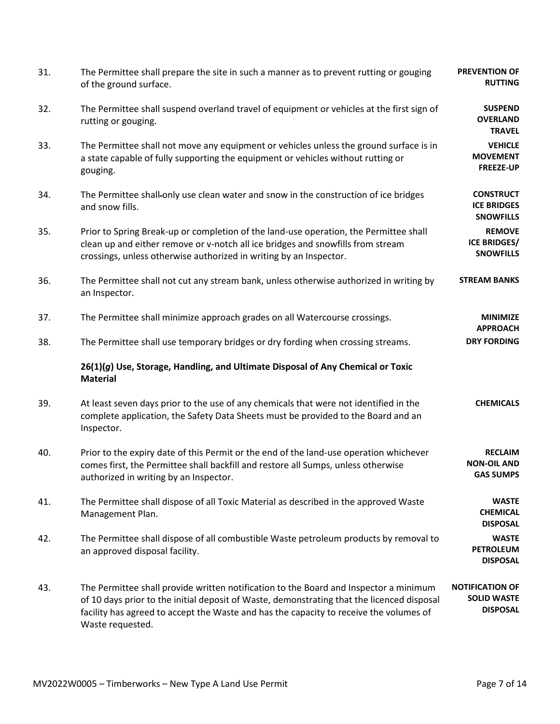| 31. | The Permittee shall prepare the site in such a manner as to prevent rutting or gouging<br>of the ground surface.                                                                                                                                                                                  | <b>PREVENTION OF</b><br><b>RUTTING</b>                          |
|-----|---------------------------------------------------------------------------------------------------------------------------------------------------------------------------------------------------------------------------------------------------------------------------------------------------|-----------------------------------------------------------------|
| 32. | The Permittee shall suspend overland travel of equipment or vehicles at the first sign of<br>rutting or gouging.                                                                                                                                                                                  | <b>SUSPEND</b><br><b>OVERLAND</b><br><b>TRAVEL</b>              |
| 33. | The Permittee shall not move any equipment or vehicles unless the ground surface is in<br>a state capable of fully supporting the equipment or vehicles without rutting or<br>gouging.                                                                                                            | <b>VEHICLE</b><br><b>MOVEMENT</b><br>FREEZE-UP                  |
| 34. | The Permittee shall-only use clean water and snow in the construction of ice bridges<br>and snow fills.                                                                                                                                                                                           | <b>CONSTRUCT</b><br><b>ICE BRIDGES</b><br><b>SNOWFILLS</b>      |
| 35. | Prior to Spring Break-up or completion of the land-use operation, the Permittee shall<br>clean up and either remove or v-notch all ice bridges and snowfills from stream<br>crossings, unless otherwise authorized in writing by an Inspector.                                                    | <b>REMOVE</b><br><b>ICE BRIDGES/</b><br><b>SNOWFILLS</b>        |
| 36. | The Permittee shall not cut any stream bank, unless otherwise authorized in writing by<br>an Inspector.                                                                                                                                                                                           | <b>STREAM BANKS</b>                                             |
| 37. | The Permittee shall minimize approach grades on all Watercourse crossings.                                                                                                                                                                                                                        | <b>MINIMIZE</b><br><b>APPROACH</b>                              |
| 38. | The Permittee shall use temporary bridges or dry fording when crossing streams.                                                                                                                                                                                                                   | <b>DRY FORDING</b>                                              |
|     | 26(1)(g) Use, Storage, Handling, and Ultimate Disposal of Any Chemical or Toxic<br><b>Material</b>                                                                                                                                                                                                |                                                                 |
| 39. | At least seven days prior to the use of any chemicals that were not identified in the<br>complete application, the Safety Data Sheets must be provided to the Board and an<br>Inspector.                                                                                                          | <b>CHEMICALS</b>                                                |
| 40. | Prior to the expiry date of this Permit or the end of the land-use operation whichever<br>comes first, the Permittee shall backfill and restore all Sumps, unless otherwise<br>authorized in writing by an Inspector.                                                                             | <b>RECLAIM</b><br><b>NON-OIL AND</b><br><b>GAS SUMPS</b>        |
| 41. | The Permittee shall dispose of all Toxic Material as described in the approved Waste<br>Management Plan.                                                                                                                                                                                          | <b>WASTE</b><br><b>CHEMICAL</b><br><b>DISPOSAL</b>              |
| 42. | The Permittee shall dispose of all combustible Waste petroleum products by removal to<br>an approved disposal facility.                                                                                                                                                                           | <b>WASTE</b><br><b>PETROLEUM</b><br><b>DISPOSAL</b>             |
| 43. | The Permittee shall provide written notification to the Board and Inspector a minimum<br>of 10 days prior to the initial deposit of Waste, demonstrating that the licenced disposal<br>facility has agreed to accept the Waste and has the capacity to receive the volumes of<br>Waste requested. | <b>NOTIFICATION OF</b><br><b>SOLID WASTE</b><br><b>DISPOSAL</b> |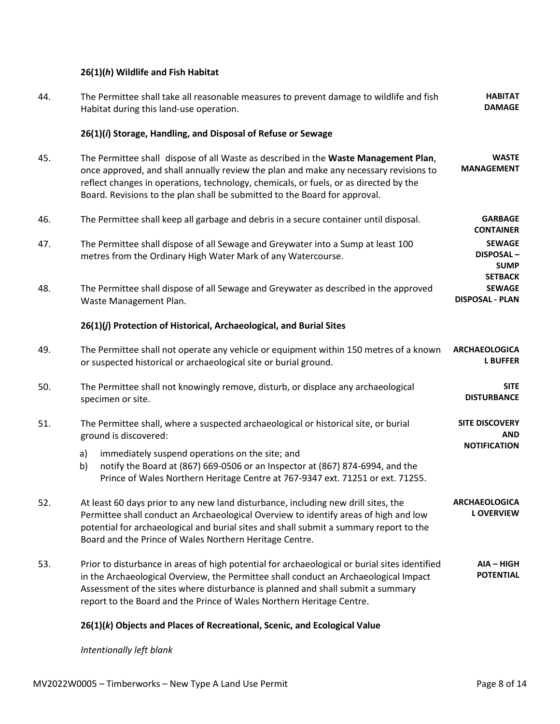# **26(1)(***h***) Wildlife and Fish Habitat**

| 44. | The Permittee shall take all reasonable measures to prevent damage to wildlife and fish<br>Habitat during this land-use operation.                                                                                                                                                                                                                  | <b>HABITAT</b><br><b>DAMAGE</b>                           |
|-----|-----------------------------------------------------------------------------------------------------------------------------------------------------------------------------------------------------------------------------------------------------------------------------------------------------------------------------------------------------|-----------------------------------------------------------|
|     | 26(1)(i) Storage, Handling, and Disposal of Refuse or Sewage                                                                                                                                                                                                                                                                                        |                                                           |
| 45. | The Permittee shall dispose of all Waste as described in the Waste Management Plan,<br>once approved, and shall annually review the plan and make any necessary revisions to<br>reflect changes in operations, technology, chemicals, or fuels, or as directed by the<br>Board. Revisions to the plan shall be submitted to the Board for approval. | <b>WASTE</b><br><b>MANAGEMENT</b>                         |
| 46. | The Permittee shall keep all garbage and debris in a secure container until disposal.                                                                                                                                                                                                                                                               | <b>GARBAGE</b><br><b>CONTAINER</b>                        |
| 47. | The Permittee shall dispose of all Sewage and Greywater into a Sump at least 100<br>metres from the Ordinary High Water Mark of any Watercourse.                                                                                                                                                                                                    | <b>SEWAGE</b><br>DISPOSAL-<br><b>SUMP</b>                 |
| 48. | The Permittee shall dispose of all Sewage and Greywater as described in the approved<br>Waste Management Plan.                                                                                                                                                                                                                                      | <b>SETBACK</b><br><b>SEWAGE</b><br><b>DISPOSAL - PLAN</b> |
|     | 26(1)(j) Protection of Historical, Archaeological, and Burial Sites                                                                                                                                                                                                                                                                                 |                                                           |
| 49. | The Permittee shall not operate any vehicle or equipment within 150 metres of a known<br>or suspected historical or archaeological site or burial ground.                                                                                                                                                                                           | <b>ARCHAEOLOGICA</b><br><b>L BUFFER</b>                   |
| 50. | The Permittee shall not knowingly remove, disturb, or displace any archaeological<br>specimen or site.                                                                                                                                                                                                                                              | <b>SITE</b><br><b>DISTURBANCE</b>                         |
| 51. | The Permittee shall, where a suspected archaeological or historical site, or burial<br>ground is discovered:                                                                                                                                                                                                                                        | <b>SITE DISCOVERY</b><br>AND                              |
|     | immediately suspend operations on the site; and<br>a)<br>notify the Board at (867) 669-0506 or an Inspector at (867) 874-6994, and the<br>b)<br>Prince of Wales Northern Heritage Centre at 767-9347 ext. 71251 or ext. 71255.                                                                                                                      | <b>NOTIFICATION</b>                                       |
| 52. | At least 60 days prior to any new land disturbance, including new drill sites, the<br>Permittee shall conduct an Archaeological Overview to identify areas of high and low<br>potential for archaeological and burial sites and shall submit a summary report to the<br>Board and the Prince of Wales Northern Heritage Centre.                     | <b>ARCHAEOLOGICA</b><br><b>LOVERVIEW</b>                  |
| 53. | Prior to disturbance in areas of high potential for archaeological or burial sites identified<br>in the Archaeological Overview, the Permittee shall conduct an Archaeological Impact<br>Assessment of the sites where disturbance is planned and shall submit a summary<br>report to the Board and the Prince of Wales Northern Heritage Centre.   | AIA - HIGH<br><b>POTENTIAL</b>                            |

# **26(1)(***k***) Objects and Places of Recreational, Scenic, and Ecological Value**

*Intentionally left blank*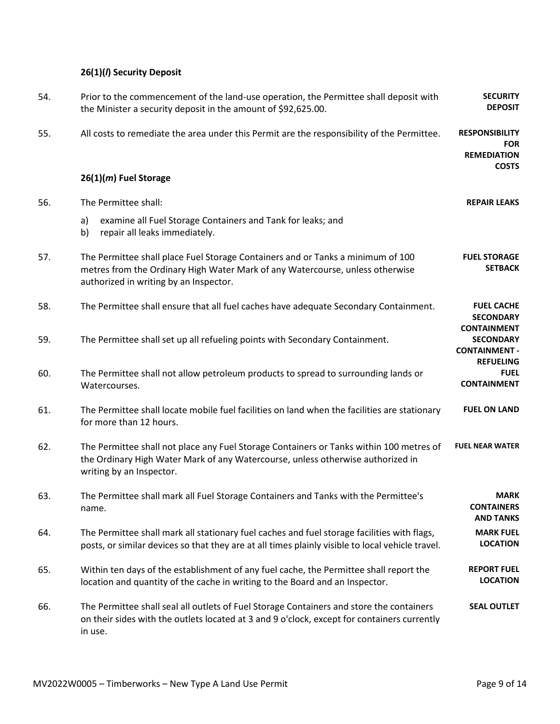# **26(1)(***l***) Security Deposit**

| 54. | Prior to the commencement of the land-use operation, the Permittee shall deposit with<br>the Minister a security deposit in the amount of \$92,625.00.                                                     | <b>SECURITY</b><br><b>DEPOSIT</b>                                                  |
|-----|------------------------------------------------------------------------------------------------------------------------------------------------------------------------------------------------------------|------------------------------------------------------------------------------------|
| 55. | All costs to remediate the area under this Permit are the responsibility of the Permittee.                                                                                                                 | <b>RESPONSIBILITY</b><br><b>FOR</b><br><b>REMEDIATION</b><br><b>COSTS</b>          |
|     | 26(1)(m) Fuel Storage                                                                                                                                                                                      |                                                                                    |
| 56. | The Permittee shall:                                                                                                                                                                                       | <b>REPAIR LEAKS</b>                                                                |
|     | examine all Fuel Storage Containers and Tank for leaks; and<br>a)<br>b)<br>repair all leaks immediately.                                                                                                   |                                                                                    |
| 57. | The Permittee shall place Fuel Storage Containers and or Tanks a minimum of 100<br>metres from the Ordinary High Water Mark of any Watercourse, unless otherwise<br>authorized in writing by an Inspector. | <b>FUEL STORAGE</b><br><b>SETBACK</b>                                              |
| 58. | The Permittee shall ensure that all fuel caches have adequate Secondary Containment.                                                                                                                       | <b>FUEL CACHE</b><br><b>SECONDARY</b>                                              |
| 59. | The Permittee shall set up all refueling points with Secondary Containment.                                                                                                                                | <b>CONTAINMENT</b><br><b>SECONDARY</b><br><b>CONTAINMENT -</b><br><b>REFUELING</b> |
| 60. | The Permittee shall not allow petroleum products to spread to surrounding lands or<br>Watercourses.                                                                                                        | <b>FUEL</b><br><b>CONTAINMENT</b>                                                  |
| 61. | The Permittee shall locate mobile fuel facilities on land when the facilities are stationary<br>for more than 12 hours.                                                                                    | <b>FUEL ON LAND</b>                                                                |
| 62. | The Permittee shall not place any Fuel Storage Containers or Tanks within 100 metres of<br>the Ordinary High Water Mark of any Watercourse, unless otherwise authorized in<br>writing by an Inspector.     | <b>FUEL NEAR WATER</b>                                                             |
| 63. | The Permittee shall mark all Fuel Storage Containers and Tanks with the Permittee's<br>name.                                                                                                               | <b>MARK</b><br><b>CONTAINERS</b><br><b>AND TANKS</b>                               |
| 64. | The Permittee shall mark all stationary fuel caches and fuel storage facilities with flags,<br>posts, or similar devices so that they are at all times plainly visible to local vehicle travel.            | <b>MARK FUEL</b><br><b>LOCATION</b>                                                |
| 65. | Within ten days of the establishment of any fuel cache, the Permittee shall report the<br>location and quantity of the cache in writing to the Board and an Inspector.                                     | <b>REPORT FUEL</b><br><b>LOCATION</b>                                              |
| 66. | The Permittee shall seal all outlets of Fuel Storage Containers and store the containers<br>on their sides with the outlets located at 3 and 9 o'clock, except for containers currently<br>in use.         | <b>SEAL OUTLET</b>                                                                 |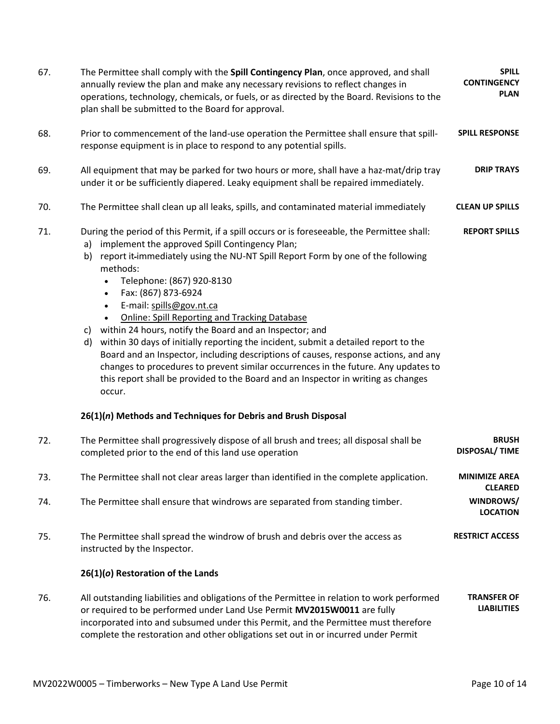| 67. | The Permittee shall comply with the Spill Contingency Plan, once approved, and shall<br>annually review the plan and make any necessary revisions to reflect changes in<br>operations, technology, chemicals, or fuels, or as directed by the Board. Revisions to the<br>plan shall be submitted to the Board for approval.                                                                                                                                                                                                                                                                                                                                                                                                                                                                                                                             | <b>SPILL</b><br><b>CONTINGENCY</b><br><b>PLAN</b> |
|-----|---------------------------------------------------------------------------------------------------------------------------------------------------------------------------------------------------------------------------------------------------------------------------------------------------------------------------------------------------------------------------------------------------------------------------------------------------------------------------------------------------------------------------------------------------------------------------------------------------------------------------------------------------------------------------------------------------------------------------------------------------------------------------------------------------------------------------------------------------------|---------------------------------------------------|
| 68. | Prior to commencement of the land-use operation the Permittee shall ensure that spill-<br>response equipment is in place to respond to any potential spills.                                                                                                                                                                                                                                                                                                                                                                                                                                                                                                                                                                                                                                                                                            | <b>SPILL RESPONSE</b>                             |
| 69. | All equipment that may be parked for two hours or more, shall have a haz-mat/drip tray<br>under it or be sufficiently diapered. Leaky equipment shall be repaired immediately.                                                                                                                                                                                                                                                                                                                                                                                                                                                                                                                                                                                                                                                                          | <b>DRIP TRAYS</b>                                 |
| 70. | The Permittee shall clean up all leaks, spills, and contaminated material immediately                                                                                                                                                                                                                                                                                                                                                                                                                                                                                                                                                                                                                                                                                                                                                                   | <b>CLEAN UP SPILLS</b>                            |
| 71. | During the period of this Permit, if a spill occurs or is foreseeable, the Permittee shall:<br>implement the approved Spill Contingency Plan;<br>a)<br>report it-immediately using the NU-NT Spill Report Form by one of the following<br>b)<br>methods:<br>Telephone: (867) 920-8130<br>Fax: (867) 873-6924<br>E-mail: spills@gov.nt.ca<br>$\bullet$<br><b>Online: Spill Reporting and Tracking Database</b><br>within 24 hours, notify the Board and an Inspector; and<br>C)<br>within 30 days of initially reporting the incident, submit a detailed report to the<br>d)<br>Board and an Inspector, including descriptions of causes, response actions, and any<br>changes to procedures to prevent similar occurrences in the future. Any updates to<br>this report shall be provided to the Board and an Inspector in writing as changes<br>occur. | <b>REPORT SPILLS</b>                              |
| 72. | 26(1)(n) Methods and Techniques for Debris and Brush Disposal<br>The Permittee shall progressively dispose of all brush and trees; all disposal shall be                                                                                                                                                                                                                                                                                                                                                                                                                                                                                                                                                                                                                                                                                                | <b>BRUSH</b>                                      |
|     | completed prior to the end of this land use operation                                                                                                                                                                                                                                                                                                                                                                                                                                                                                                                                                                                                                                                                                                                                                                                                   | <b>DISPOSAL/ TIME</b>                             |
| 73. | The Permittee shall not clear areas larger than identified in the complete application.                                                                                                                                                                                                                                                                                                                                                                                                                                                                                                                                                                                                                                                                                                                                                                 | <b>MINIMIZE AREA</b><br><b>CLEARED</b>            |
| 74. | The Permittee shall ensure that windrows are separated from standing timber.                                                                                                                                                                                                                                                                                                                                                                                                                                                                                                                                                                                                                                                                                                                                                                            | WINDROWS/<br><b>LOCATION</b>                      |
| 75. | The Permittee shall spread the windrow of brush and debris over the access as<br>instructed by the Inspector.                                                                                                                                                                                                                                                                                                                                                                                                                                                                                                                                                                                                                                                                                                                                           | <b>RESTRICT ACCESS</b>                            |
|     | 26(1)(o) Restoration of the Lands                                                                                                                                                                                                                                                                                                                                                                                                                                                                                                                                                                                                                                                                                                                                                                                                                       |                                                   |
| 76. | All outstanding liabilities and obligations of the Permittee in relation to work performed<br>or required to be performed under Land Use Permit MV2015W0011 are fully<br>incorporated into and subsumed under this Permit, and the Permittee must therefore<br>complete the restoration and other obligations set out in or incurred under Permit                                                                                                                                                                                                                                                                                                                                                                                                                                                                                                       | <b>TRANSFER OF</b><br><b>LIABILITIES</b>          |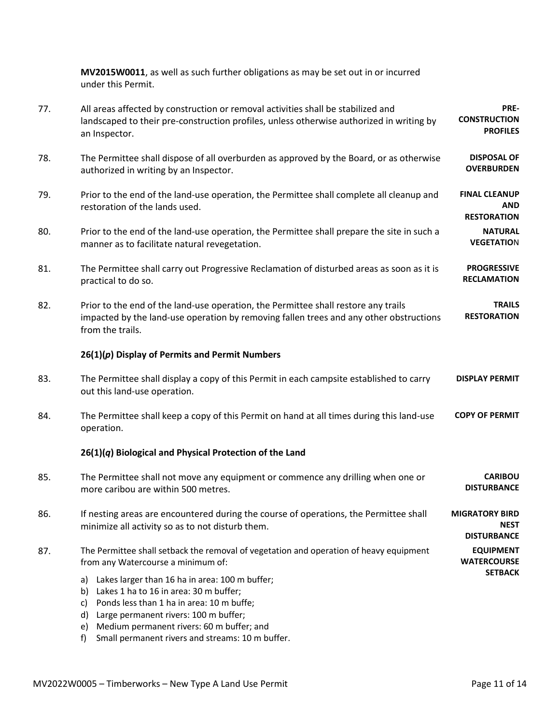**MV2015W0011**, as well as such further obligations as may be set out in or incurred under this Permit.

| 77. | All areas affected by construction or removal activities shall be stabilized and<br>landscaped to their pre-construction profiles, unless otherwise authorized in writing by<br>an Inspector.                                                          | PRE-<br><b>CONSTRUCTION</b><br><b>PROFILES</b>             |
|-----|--------------------------------------------------------------------------------------------------------------------------------------------------------------------------------------------------------------------------------------------------------|------------------------------------------------------------|
| 78. | The Permittee shall dispose of all overburden as approved by the Board, or as otherwise<br>authorized in writing by an Inspector.                                                                                                                      | <b>DISPOSAL OF</b><br><b>OVERBURDEN</b>                    |
| 79. | Prior to the end of the land-use operation, the Permittee shall complete all cleanup and<br>restoration of the lands used.                                                                                                                             | <b>FINAL CLEANUP</b><br><b>AND</b><br><b>RESTORATION</b>   |
| 80. | Prior to the end of the land-use operation, the Permittee shall prepare the site in such a<br>manner as to facilitate natural revegetation.                                                                                                            | <b>NATURAL</b><br><b>VEGETATION</b>                        |
| 81. | The Permittee shall carry out Progressive Reclamation of disturbed areas as soon as it is<br>practical to do so.                                                                                                                                       | <b>PROGRESSIVE</b><br><b>RECLAMATION</b>                   |
| 82. | Prior to the end of the land-use operation, the Permittee shall restore any trails<br>impacted by the land-use operation by removing fallen trees and any other obstructions<br>from the trails.                                                       | <b>TRAILS</b><br><b>RESTORATION</b>                        |
|     | $26(1)(p)$ Display of Permits and Permit Numbers                                                                                                                                                                                                       |                                                            |
| 83. | The Permittee shall display a copy of this Permit in each campsite established to carry<br>out this land-use operation.                                                                                                                                | <b>DISPLAY PERMIT</b>                                      |
| 84. | The Permittee shall keep a copy of this Permit on hand at all times during this land-use<br>operation.                                                                                                                                                 | <b>COPY OF PERMIT</b>                                      |
|     | 26(1)(q) Biological and Physical Protection of the Land                                                                                                                                                                                                |                                                            |
| 85. | The Permittee shall not move any equipment or commence any drilling when one or<br>more caribou are within 500 metres.                                                                                                                                 | <b>CARIBOU</b><br><b>DISTURBANCE</b>                       |
| 86. | If nesting areas are encountered during the course of operations, the Permittee shall<br>minimize all activity so as to not disturb them.                                                                                                              | <b>MIGRATORY BIRD</b><br><b>NEST</b><br><b>DISTURBANCE</b> |
| 87. | The Permittee shall setback the removal of vegetation and operation of heavy equipment<br>from any Watercourse a minimum of:                                                                                                                           | <b>EQUIPMENT</b><br><b>WATERCOURSE</b>                     |
|     | Lakes larger than 16 ha in area: 100 m buffer;<br>a)<br>b) Lakes 1 ha to 16 in area: 30 m buffer;<br>Ponds less than 1 ha in area: 10 m buffe;<br>C)<br>Large permanent rivers: 100 m buffer;<br>d)<br>Medium permanent rivers: 60 m buffer; and<br>e) | <b>SETBACK</b>                                             |

f) Small permanent rivers and streams: 10 m buffer.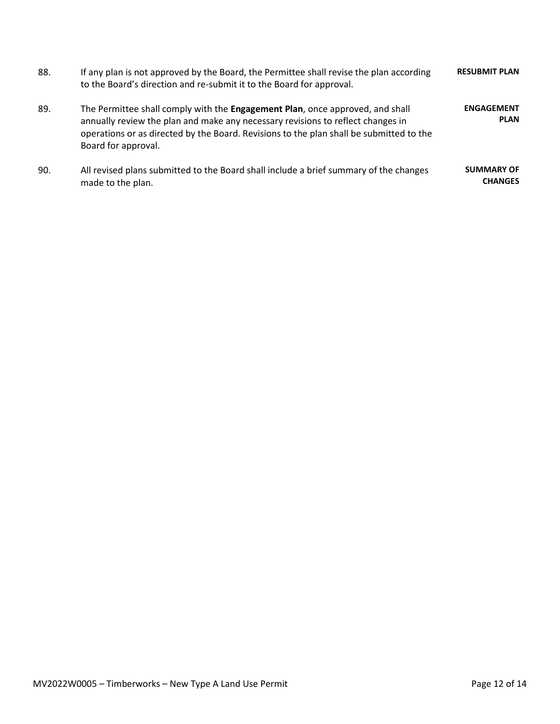| 88. | If any plan is not approved by the Board, the Permittee shall revise the plan according<br>to the Board's direction and re-submit it to the Board for approval.                                                                                                                    | <b>RESUBMIT PLAN</b>                |
|-----|------------------------------------------------------------------------------------------------------------------------------------------------------------------------------------------------------------------------------------------------------------------------------------|-------------------------------------|
| 89. | The Permittee shall comply with the Engagement Plan, once approved, and shall<br>annually review the plan and make any necessary revisions to reflect changes in<br>operations or as directed by the Board. Revisions to the plan shall be submitted to the<br>Board for approval. | <b>ENGAGEMENT</b><br><b>PLAN</b>    |
| 90. | All revised plans submitted to the Board shall include a brief summary of the changes<br>made to the plan.                                                                                                                                                                         | <b>SUMMARY OF</b><br><b>CHANGES</b> |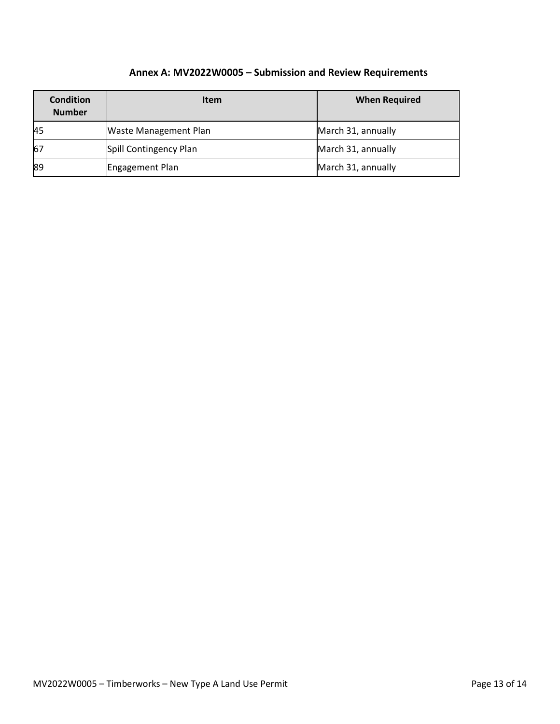# **Annex A: MV2022W0005 – Submission and Review Requirements**

| <b>Condition</b><br><b>Number</b> | <b>Item</b>            | <b>When Required</b> |
|-----------------------------------|------------------------|----------------------|
| 45                                | Waste Management Plan  | March 31, annually   |
| 67                                | Spill Contingency Plan | March 31, annually   |
| 89                                | Engagement Plan        | March 31, annually   |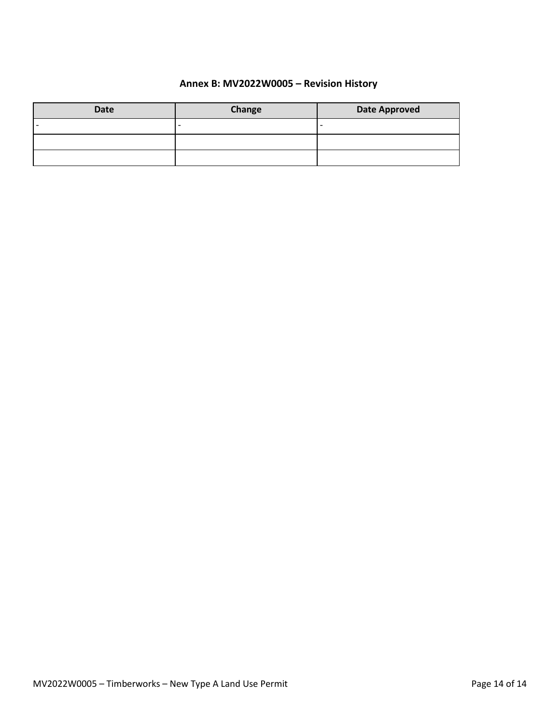# **Annex B: MV2022W0005 – Revision History**

| <b>Date</b> | Change                   | <b>Date Approved</b> |
|-------------|--------------------------|----------------------|
|             | $\overline{\phantom{0}}$ | -                    |
|             |                          |                      |
|             |                          |                      |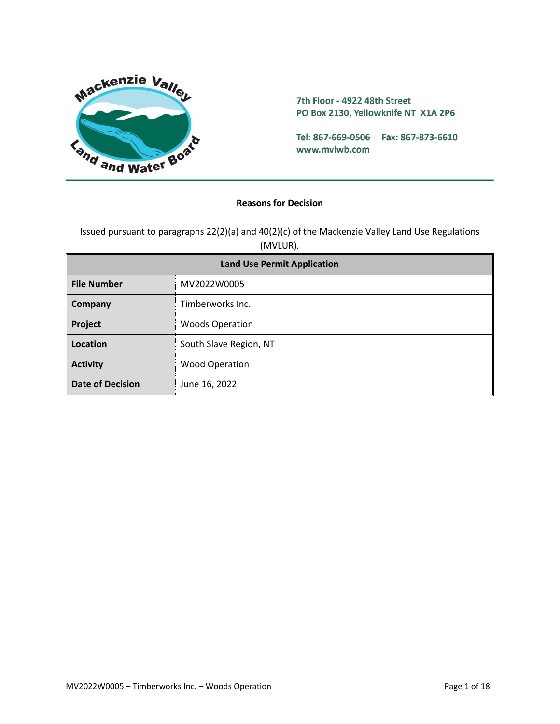

7th Floor - 4922 48th Street PO Box 2130, Yellowknife NT X1A 2P6

Tel: 867-669-0506 Fax: 867-873-6610 www.mvlwb.com

#### **Reasons for Decision**

Issued pursuant to paragraphs 22(2)(a) and 40(2)(c) of the Mackenzie Valley Land Use Regulations (MVLUR)*.*

| <b>Land Use Permit Application</b> |                        |  |
|------------------------------------|------------------------|--|
| <b>File Number</b>                 | MV2022W0005            |  |
| Company                            | Timberworks Inc.       |  |
| Project                            | <b>Woods Operation</b> |  |
| Location                           | South Slave Region, NT |  |
| <b>Activity</b>                    | <b>Wood Operation</b>  |  |
| <b>Date of Decision</b>            | June 16, 2022          |  |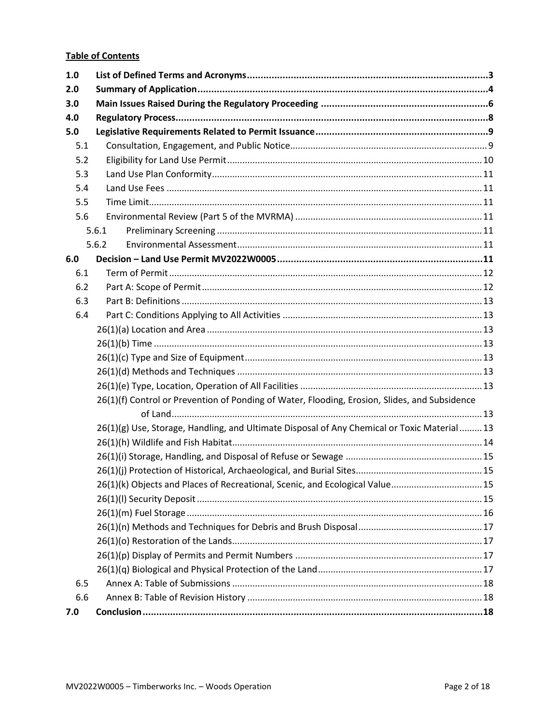## **Table of Contents**

| 1.0 |                                                                                               |  |
|-----|-----------------------------------------------------------------------------------------------|--|
| 2.0 |                                                                                               |  |
| 3.0 |                                                                                               |  |
| 4.0 |                                                                                               |  |
| 5.0 |                                                                                               |  |
| 5.1 |                                                                                               |  |
| 5.2 |                                                                                               |  |
| 5.3 |                                                                                               |  |
| 5.4 |                                                                                               |  |
| 5.5 |                                                                                               |  |
| 5.6 |                                                                                               |  |
|     | 5.6.1                                                                                         |  |
|     | 5.6.2                                                                                         |  |
| 6.0 |                                                                                               |  |
| 6.1 |                                                                                               |  |
| 6.2 |                                                                                               |  |
| 6.3 |                                                                                               |  |
| 6.4 |                                                                                               |  |
|     |                                                                                               |  |
|     |                                                                                               |  |
|     |                                                                                               |  |
|     |                                                                                               |  |
|     |                                                                                               |  |
|     | 26(1)(f) Control or Prevention of Ponding of Water, Flooding, Erosion, Slides, and Subsidence |  |
|     |                                                                                               |  |
|     | 26(1)(g) Use, Storage, Handling, and Ultimate Disposal of Any Chemical or Toxic Material13    |  |
|     |                                                                                               |  |
|     |                                                                                               |  |
|     |                                                                                               |  |
|     | 26(1)(k) Objects and Places of Recreational, Scenic, and Ecological Value 15                  |  |
|     |                                                                                               |  |
|     |                                                                                               |  |
|     |                                                                                               |  |
|     |                                                                                               |  |
|     |                                                                                               |  |
|     |                                                                                               |  |
| 6.5 |                                                                                               |  |
| 6.6 |                                                                                               |  |
| 7.0 |                                                                                               |  |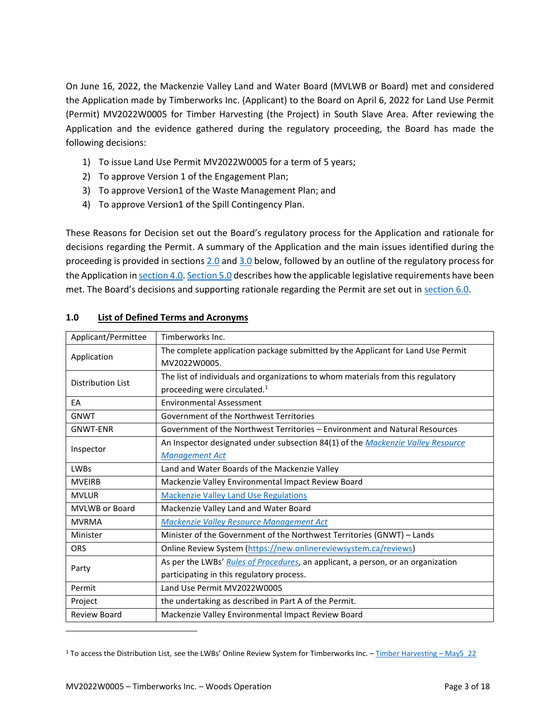On June 16, 2022, the Mackenzie Valley Land and Water Board (MVLWB or Board) met and considered the Application made by Timberworks Inc. (Applicant) to the Board on April 6, 2022 for Land Use Permit (Permit) MV2022W0005 for Timber Harvesting (the Project) in South Slave Area. After reviewing the Application and the evidence gathered during the regulatory proceeding, the Board has made the following decisions:

- 1) To issue Land Use Permit MV2022W0005 for a term of 5 years;
- 2) To approve Version 1 of the Engagement Plan;
- 3) To approve Version1 of the Waste Management Plan; and
- 4) To approve Version1 of the Spill Contingency Plan.

These Reasons for Decision set out the Board's regulatory process for the Application and rationale for decisions regarding the Permit. A summary of the Application and the main issues identified during the proceeding is provided in sections [2.0](#page-20-0) an[d 3.0](#page-22-0) below, followed by an outline of the regulatory process for the Application i[n section 4.0.](#page-24-0) [Section 5.0](#page-25-0) describes how the applicable legislative requirements have been met. The Board's decisions and supporting rationale regarding the Permit are set out in section 6.0.

| Applicant/Permittee      | Timberworks Inc.                                                                 |
|--------------------------|----------------------------------------------------------------------------------|
| Application              | The complete application package submitted by the Applicant for Land Use Permit  |
|                          | MV2022W0005.                                                                     |
| <b>Distribution List</b> | The list of individuals and organizations to whom materials from this regulatory |
|                          | proceeding were circulated. <sup>1</sup>                                         |
| EA                       | <b>Environmental Assessment</b>                                                  |
| <b>GNWT</b>              | Government of the Northwest Territories                                          |
| <b>GNWT-ENR</b>          | Government of the Northwest Territories – Environment and Natural Resources      |
|                          | An Inspector designated under subsection 84(1) of the Mackenzie Valley Resource  |
| Inspector                | <b>Management Act</b>                                                            |
| <b>LWBs</b>              | Land and Water Boards of the Mackenzie Valley                                    |
| <b>MVEIRB</b>            | Mackenzie Valley Environmental Impact Review Board                               |
| <b>MVLUR</b>             | <b>Mackenzie Valley Land Use Regulations</b>                                     |
| <b>MVLWB or Board</b>    | Mackenzie Valley Land and Water Board                                            |
| <b>MVRMA</b>             | Mackenzie Valley Resource Management Act                                         |
| Minister                 | Minister of the Government of the Northwest Territories (GNWT) - Lands           |
| <b>ORS</b>               | Online Review System (https://new.onlinereviewsystem.ca/reviews)                 |
|                          | As per the LWBs' Rules of Procedures, an applicant, a person, or an organization |
| Party                    | participating in this regulatory process.                                        |
| Permit                   | Land Use Permit MV2022W0005                                                      |
| Project                  | the undertaking as described in Part A of the Permit.                            |
| <b>Review Board</b>      | Mackenzie Valley Environmental Impact Review Board                               |
|                          |                                                                                  |

## <span id="page-19-0"></span>**1.0 List of Defined Terms and Acronyms**

<sup>&</sup>lt;sup>1</sup> To access the Distribution List, see the LWBs' Online Review System for Timberworks Inc. - [Timber Harvesting](https://new.onlinereviewsystem.ca/review/4E920AE1-8FCC-EC11-997E-CC60C843C6BF) - May5\_22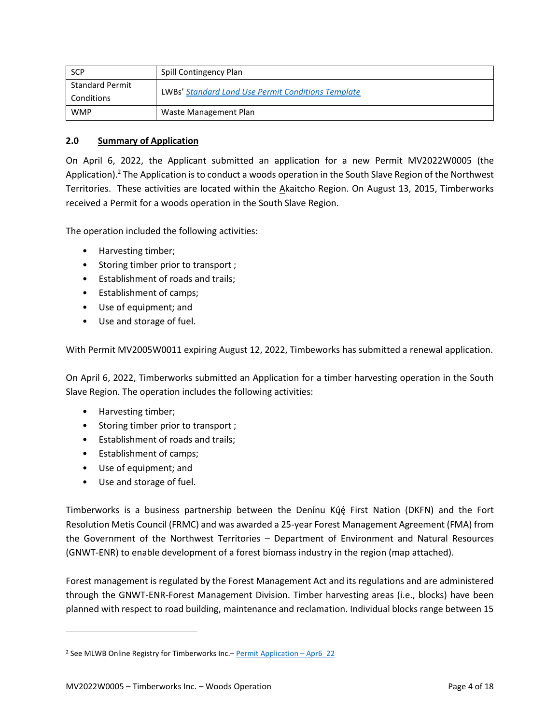| <b>SCP</b>                           | Spill Contingency Plan                                    |
|--------------------------------------|-----------------------------------------------------------|
| <b>Standard Permit</b><br>Conditions | <b>LWBs' Standard Land Use Permit Conditions Template</b> |
| <b>WMP</b>                           | Waste Management Plan                                     |

## <span id="page-20-0"></span>**2.0 Summary of Application**

On April 6, 2022, the Applicant submitted an application for a new Permit MV2022W0005 (the Application).<sup>2</sup> The Application is to conduct a woods operation in the South Slave Region of the Northwest Territories. These activities are located within the Akaitcho Region. On August 13, 2015, Timberworks received a Permit for a woods operation in the South Slave Region.

The operation included the following activities:

- Harvesting timber;
- Storing timber prior to transport ;
- Establishment of roads and trails;
- Establishment of camps;
- Use of equipment; and
- Use and storage of fuel.

With Permit MV2005W0011 expiring August 12, 2022, Timbeworks has submitted a renewal application.

On April 6, 2022, Timberworks submitted an Application for a timber harvesting operation in the South Slave Region. The operation includes the following activities:

- Harvesting timber;
- Storing timber prior to transport ;
- Establishment of roads and trails;
- Establishment of camps;
- Use of equipment; and
- Use and storage of fuel.

Timberworks is a business partnership between the Denínu Kýę First Nation (DKFN) and the Fort Resolution Metis Council (FRMC) and was awarded a 25-year Forest Management Agreement (FMA) from the Government of the Northwest Territories – Department of Environment and Natural Resources (GNWT-ENR) to enable development of a forest biomass industry in the region (map attached).

Forest management is regulated by the Forest Management Act and its regulations and are administered through the GNWT-ENR-Forest Management Division. Timber harvesting areas (i.e., blocks) have been planned with respect to road building, maintenance and reclamation. Individual blocks range between 15

<sup>&</sup>lt;sup>2</sup> See MLWB Online Registry for Timberworks Inc. - [Permit Application](https://registry.mvlwb.ca/Documents/MV2022W0005/Timberworks%20-%20Type%20A%20LUP%20Application%20-%20Apr6_22.pdf) - Apr6\_22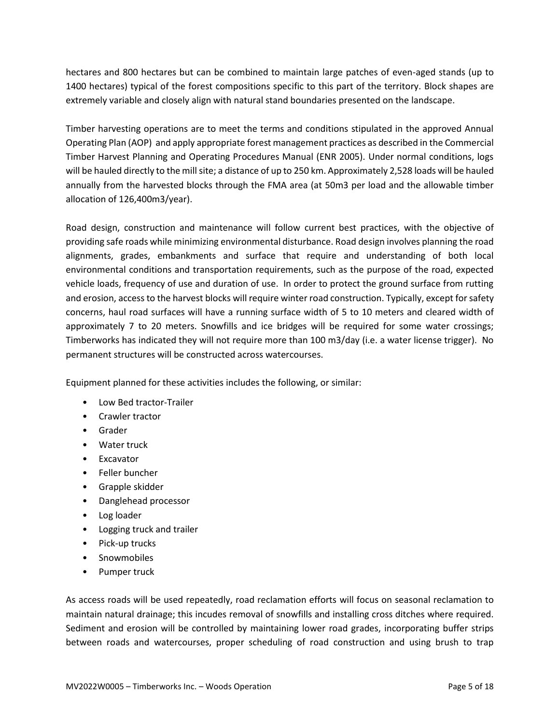hectares and 800 hectares but can be combined to maintain large patches of even-aged stands (up to 1400 hectares) typical of the forest compositions specific to this part of the territory. Block shapes are extremely variable and closely align with natural stand boundaries presented on the landscape.

Timber harvesting operations are to meet the terms and conditions stipulated in the approved Annual Operating Plan (AOP) and apply appropriate forest management practices as described in the Commercial Timber Harvest Planning and Operating Procedures Manual (ENR 2005). Under normal conditions, logs will be hauled directly to the mill site; a distance of up to 250 km. Approximately 2,528 loads will be hauled annually from the harvested blocks through the FMA area (at 50m3 per load and the allowable timber allocation of 126,400m3/year).

Road design, construction and maintenance will follow current best practices, with the objective of providing safe roads while minimizing environmental disturbance. Road design involves planning the road alignments, grades, embankments and surface that require and understanding of both local environmental conditions and transportation requirements, such as the purpose of the road, expected vehicle loads, frequency of use and duration of use. In order to protect the ground surface from rutting and erosion, access to the harvest blocks will require winter road construction. Typically, except for safety concerns, haul road surfaces will have a running surface width of 5 to 10 meters and cleared width of approximately 7 to 20 meters. Snowfills and ice bridges will be required for some water crossings; Timberworks has indicated they will not require more than 100 m3/day (i.e. a water license trigger). No permanent structures will be constructed across watercourses.

Equipment planned for these activities includes the following, or similar:

- Low Bed tractor-Trailer
- Crawler tractor
- Grader
- Water truck
- Excavator
- Feller buncher
- Grapple skidder
- Danglehead processor
- Log loader
- Logging truck and trailer
- Pick-up trucks
- Snowmobiles
- Pumper truck

As access roads will be used repeatedly, road reclamation efforts will focus on seasonal reclamation to maintain natural drainage; this incudes removal of snowfills and installing cross ditches where required. Sediment and erosion will be controlled by maintaining lower road grades, incorporating buffer strips between roads and watercourses, proper scheduling of road construction and using brush to trap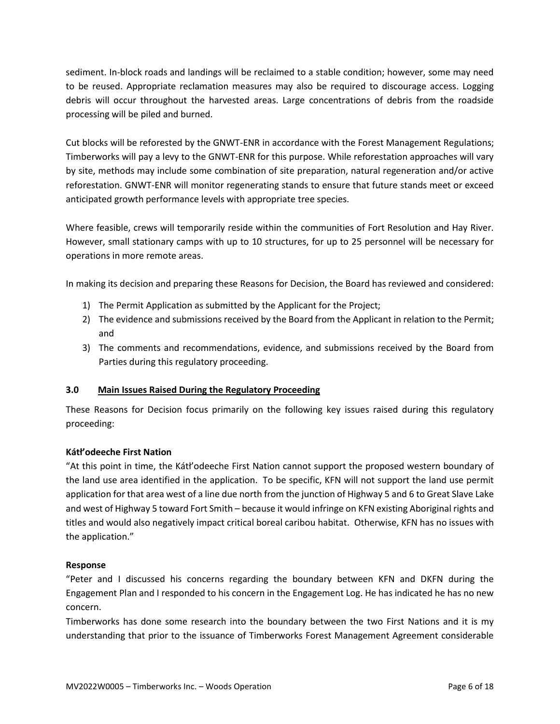sediment. In-block roads and landings will be reclaimed to a stable condition; however, some may need to be reused. Appropriate reclamation measures may also be required to discourage access. Logging debris will occur throughout the harvested areas. Large concentrations of debris from the roadside processing will be piled and burned.

Cut blocks will be reforested by the GNWT-ENR in accordance with the Forest Management Regulations; Timberworks will pay a levy to the GNWT-ENR for this purpose. While reforestation approaches will vary by site, methods may include some combination of site preparation, natural regeneration and/or active reforestation. GNWT-ENR will monitor regenerating stands to ensure that future stands meet or exceed anticipated growth performance levels with appropriate tree species.

Where feasible, crews will temporarily reside within the communities of Fort Resolution and Hay River. However, small stationary camps with up to 10 structures, for up to 25 personnel will be necessary for operations in more remote areas.

In making its decision and preparing these Reasons for Decision, the Board has reviewed and considered:

- 1) The Permit Application as submitted by the Applicant for the Project;
- 2) The evidence and submissions received by the Board from the Applicant in relation to the Permit; and
- 3) The comments and recommendations, evidence, and submissions received by the Board from Parties during this regulatory proceeding.

### <span id="page-22-0"></span>**3.0 Main Issues Raised During the Regulatory Proceeding**

These Reasons for Decision focus primarily on the following key issues raised during this regulatory proceeding:

### **Kátł'odeeche First Nation**

"At this point in time, the Kátł'odeeche First Nation cannot support the proposed western boundary of the land use area identified in the application. To be specific, KFN will not support the land use permit application for that area west of a line due north from the junction of Highway 5 and 6 to Great Slave Lake and west of Highway 5 toward Fort Smith – because it would infringe on KFN existing Aboriginal rights and titles and would also negatively impact critical boreal caribou habitat. Otherwise, KFN has no issues with the application."

### **Response**

"Peter and I discussed his concerns regarding the boundary between KFN and DKFN during the Engagement Plan and I responded to his concern in the Engagement Log. He has indicated he has no new concern.

Timberworks has done some research into the boundary between the two First Nations and it is my understanding that prior to the issuance of Timberworks Forest Management Agreement considerable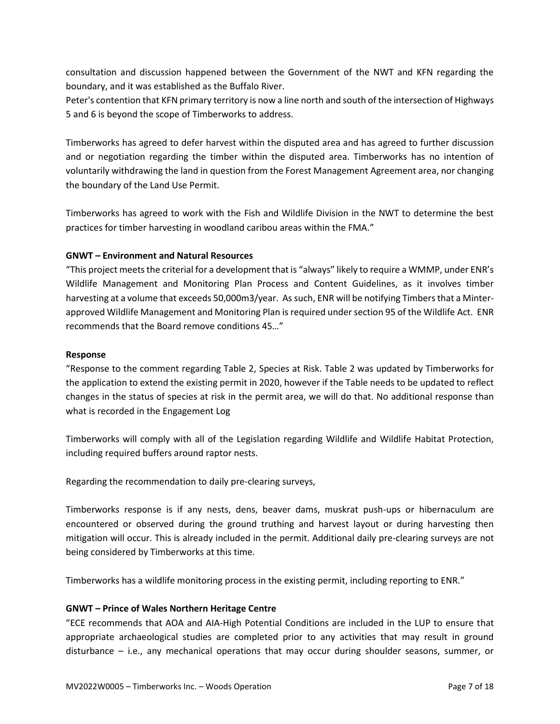consultation and discussion happened between the Government of the NWT and KFN regarding the boundary, and it was established as the Buffalo River.

Peter's contention that KFN primary territory is now a line north and south of the intersection of Highways 5 and 6 is beyond the scope of Timberworks to address.

Timberworks has agreed to defer harvest within the disputed area and has agreed to further discussion and or negotiation regarding the timber within the disputed area. Timberworks has no intention of voluntarily withdrawing the land in question from the Forest Management Agreement area, nor changing the boundary of the Land Use Permit.

Timberworks has agreed to work with the Fish and Wildlife Division in the NWT to determine the best practices for timber harvesting in woodland caribou areas within the FMA."

### **GNWT – Environment and Natural Resources**

"This project meets the criterial for a development that is "always" likely to require a WMMP, under ENR's Wildlife Management and Monitoring Plan Process and Content Guidelines, as it involves timber harvesting at a volume that exceeds 50,000m3/year. As such, ENR will be notifying Timbers that a Minterapproved Wildlife Management and Monitoring Plan is required under section 95 of the Wildlife Act. ENR recommends that the Board remove conditions 45…"

#### **Response**

"Response to the comment regarding Table 2, Species at Risk. Table 2 was updated by Timberworks for the application to extend the existing permit in 2020, however if the Table needs to be updated to reflect changes in the status of species at risk in the permit area, we will do that. No additional response than what is recorded in the Engagement Log

Timberworks will comply with all of the Legislation regarding Wildlife and Wildlife Habitat Protection, including required buffers around raptor nests.

Regarding the recommendation to daily pre-clearing surveys,

Timberworks response is if any nests, dens, beaver dams, muskrat push-ups or hibernaculum are encountered or observed during the ground truthing and harvest layout or during harvesting then mitigation will occur. This is already included in the permit. Additional daily pre-clearing surveys are not being considered by Timberworks at this time.

Timberworks has a wildlife monitoring process in the existing permit, including reporting to ENR."

### **GNWT – Prince of Wales Northern Heritage Centre**

"ECE recommends that AOA and AIA-High Potential Conditions are included in the LUP to ensure that appropriate archaeological studies are completed prior to any activities that may result in ground disturbance – i.e., any mechanical operations that may occur during shoulder seasons, summer, or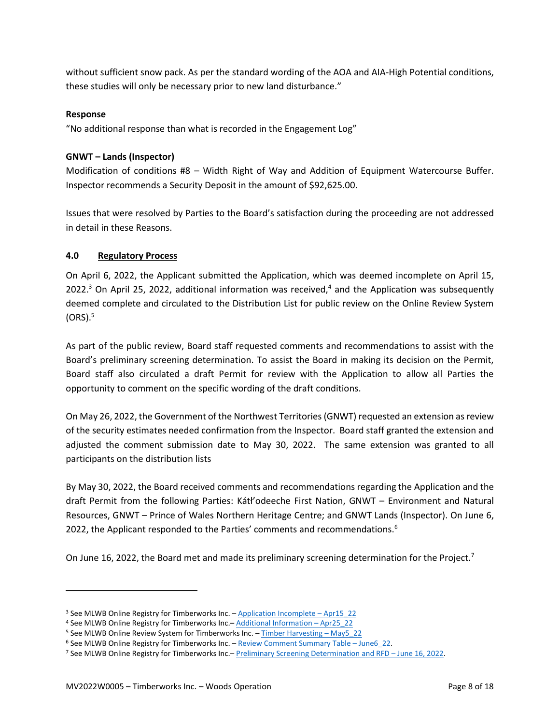without sufficient snow pack. As per the standard wording of the AOA and AIA-High Potential conditions, these studies will only be necessary prior to new land disturbance."

#### **Response**

"No additional response than what is recorded in the Engagement Log"

### **GNWT – Lands (Inspector)**

Modification of conditions #8 – Width Right of Way and Addition of Equipment Watercourse Buffer. Inspector recommends a Security Deposit in the amount of \$92,625.00.

Issues that were resolved by Parties to the Board's satisfaction during the proceeding are not addressed in detail in these Reasons.

### <span id="page-24-0"></span>**4.0 Regulatory Process**

On April 6, 2022, the Applicant submitted the Application, which was deemed incomplete on April 15, 2022.<sup>3</sup> On April 25, 2022, additional information was received,<sup>4</sup> and the Application was subsequently deemed complete and circulated to the Distribution List for public review on the Online Review System  $(ORS).<sup>5</sup>$ 

As part of the public review, Board staff requested comments and recommendations to assist with the Board's preliminary screening determination. To assist the Board in making its decision on the Permit, Board staff also circulated a draft Permit for review with the Application to allow all Parties the opportunity to comment on the specific wording of the draft conditions.

On May 26, 2022, the Government of the Northwest Territories (GNWT) requested an extension as review of the security estimates needed confirmation from the Inspector. Board staff granted the extension and adjusted the comment submission date to May 30, 2022. The same extension was granted to all participants on the distribution lists

By May 30, 2022, the Board received comments and recommendations regarding the Application and the draft Permit from the following Parties: Kátł'odeeche First Nation, GNWT – Environment and Natural Resources, GNWT – Prince of Wales Northern Heritage Centre; and GNWT Lands (Inspector). On June 6, 2022, the Applicant responded to the Parties' comments and recommendations.<sup>6</sup>

On June 16, 2022, the Board met and made its preliminary screening determination for the Project.<sup>7</sup>

<sup>&</sup>lt;sup>3</sup> See MLWB Online Registry for Timberworks Inc. - [Application Incomplete](https://registry.mvlwb.ca/Documents/MV2022W0005/Timberworks%20-%20Incomplete%20Letter%20-%20Apr15_22.pdf) - Apr15 22

<sup>4</sup> See MLWB Online Registry for Timberworks Inc.- [Additional Information](https://registry.mvlwb.ca/Documents/MV2022W0005/Timberworks%20-%20Additional%20Information%20-%20Letter%20-%20Apr25_22.pdf) - Apr25\_22

<sup>&</sup>lt;sup>5</sup> See MLWB Online Review System for Timberworks Inc. - [Timber Harvesting](https://new.onlinereviewsystem.ca/review/4E920AE1-8FCC-EC11-997E-CC60C843C6BF) - May5\_22

<sup>6</sup> See MLWB Online Registry for Timberworks Inc. – [Review Comment Summary Table](https://new.onlinereviewsystem.ca/review/4E920AE1-8FCC-EC11-997E-CC60C843C6BF) – June6\_22.

<sup>7</sup> See MLWB Online Registry for Timberworks Inc.– [Preliminary Screening Determination and RFD](https://mvlwb.com/registry/MV2022W0005) – June 16, 2022.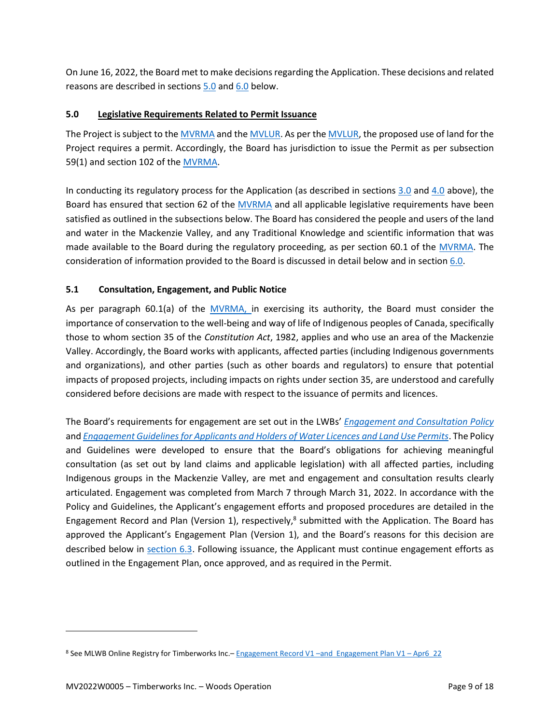On June 16, 2022, the Board met to make decisions regarding the Application. These decisions and related reasons are described in sections [5.0](#page-25-0) and 6.0 below.

## <span id="page-25-0"></span>**5.0 Legislative Requirements Related to Permit Issuance**

The Project is subject to the [MVRMA](http://laws-lois.justice.gc.ca/PDF/M-0.2.pdf) and th[e MVLUR.](http://laws-lois.justice.gc.ca/PDF/SOR-98-429.pdf) As per the [MVLUR,](http://laws-lois.justice.gc.ca/PDF/SOR-98-429.pdf) the proposed use of land for the Project requires a permit. Accordingly, the Board has jurisdiction to issue the Permit as per subsection 59(1) and section 102 of the [MVRMA.](http://laws-lois.justice.gc.ca/PDF/M-0.2.pdf)

In conducting its regulatory process for the Application (as described in sections  $3.0$  and  $4.0$  above), the Board has ensured that section 62 of the [MVRMA](http://laws-lois.justice.gc.ca/PDF/M-0.2.pdf) and all applicable legislative requirements have been satisfied as outlined in the subsections below. The Board has considered the people and users of the land and water in the Mackenzie Valley, and any Traditional Knowledge and scientific information that was made available to the Board during the regulatory proceeding, as per section 60.1 of the [MVRMA.](http://laws-lois.justice.gc.ca/PDF/M-0.2.pdf) The consideration of information provided to the Board is discussed in detail below and in section 6.0.

## <span id="page-25-1"></span>**5.1 Consultation, Engagement, and Public Notice**

As per paragraph 60.1(a) of the [MVRMA,](http://laws-lois.justice.gc.ca/PDF/M-0.2.pdf) in exercising its authority, the Board must consider the importance of conservation to the well-being and way of life of Indigenous peoples of Canada, specifically those to whom section 35 of the *Constitution Act*, 1982, applies and who use an area of the Mackenzie Valley. Accordingly, the Board works with applicants, affected parties (including Indigenous governments and organizations), and other parties (such as other boards and regulators) to ensure that potential impacts of proposed projects, including impacts on rights under section 35, are understood and carefully considered before decisions are made with respect to the issuance of permits and licences.

The Board's requirements for engagement are set out in the LWBs' *[Engagement and Consultation Policy](https://mvlwb.com/sites/default/files/mvlwb_engagement_and_consultation_policy_-_nov_25_19.pdf)* and *[Engagement Guidelines for Applicants and Holders of Water Licences and Land Use Permits](https://mvlwb.com/sites/default/files/mvlwb_engagement_guidelines_for_holders_of_lups_and_wls_-_october_2_19.pdf)*. The Policy and Guidelines were developed to ensure that the Board's obligations for achieving meaningful consultation (as set out by land claims and applicable legislation) with all affected parties, including Indigenous groups in the Mackenzie Valley, are met and engagement and consultation results clearly articulated. Engagement was completed from March 7 through March 31, 2022. In accordance with the Policy and Guidelines, the Applicant's engagement efforts and proposed procedures are detailed in the Engagement Record and Plan (Version 1), respectively, $8$  submitted with the Application. The Board has approved the Applicant's Engagement Plan (Version 1), and the Board's reasons for this decision are described below in section 6.3. Following issuance, the Applicant must continue engagement efforts as outlined in the Engagement Plan, once approved, and as required in the Permit.

<sup>8</sup> See MLWB Online Registry for Timberworks Inc. - Engagement Record V1 - [and Engagement Plan V1](https://registry.mvlwb.ca/Documents/MV2022W0005/Timberworks%20-%20Engagement%20Plan%20-%20Apr6_22.pdf) - Apr6 22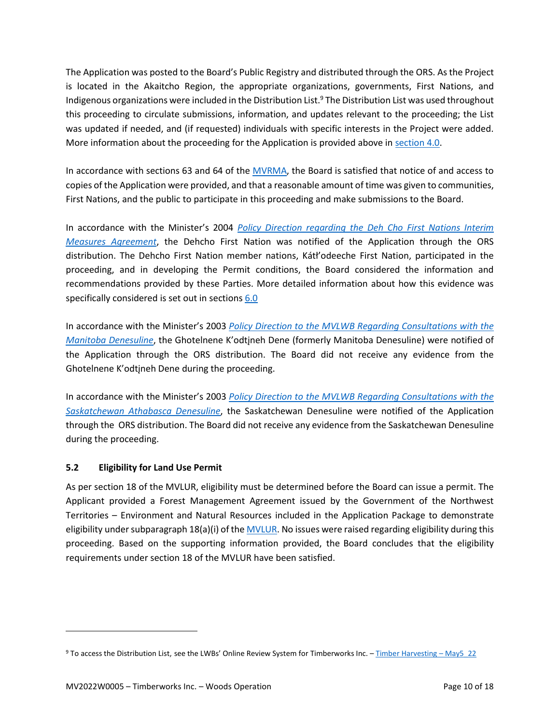The Application was posted to the Board's Public Registry and distributed through the ORS. As the Project is located in the Akaitcho Region, the appropriate organizations, governments, First Nations, and Indigenous organizations were included in the Distribution List.<sup>9</sup> The Distribution List was used throughout this proceeding to circulate submissions, information, and updates relevant to the proceeding; the List was updated if needed, and (if requested) individuals with specific interests in the Project were added. More information about the proceeding for the Application is provided above in [section 4.0.](#page-24-0)

In accordance with sections 63 and 64 of the [MVRMA,](http://laws-lois.justice.gc.ca/PDF/M-0.2.pdf) the Board is satisfied that notice of and access to copies of the Application were provided, and that a reasonable amount of time was given to communities, First Nations, and the public to participate in this proceeding and make submissions to the Board.

In accordance with the Minister's 2004 *[Policy Direction regarding the Deh Cho First Nations Interim](https://glwb.com/sites/default/files/1050-10-080-dehcho-interimmeasuresagreementdec04.pdf)  [Measures Agreement](https://glwb.com/sites/default/files/1050-10-080-dehcho-interimmeasuresagreementdec04.pdf)*, the Dehcho First Nation was notified of the Application through the ORS distribution. The Dehcho First Nation member nations, Kátł'odeeche First Nation, participated in the proceeding, and in developing the Permit conditions, the Board considered the information and recommendations provided by these Parties. More detailed information about how this evidence was specifically considered is set out in sections 6.0

In accordance with the Minister's 2003 *[Policy Direction to the MVLWB Regarding Consultations with the](https://mvlwb.com/sites/default/files/documents/Policy-Direction_Manitoba-Denesuline-2003.pdf)  [Manitoba Denesuline](https://mvlwb.com/sites/default/files/documents/Policy-Direction_Manitoba-Denesuline-2003.pdf)*, the Ghotelnene K'odtįneh Dene (formerly Manitoba Denesuline) were notified of the Application through the ORS distribution. The Board did not receive any evidence from the Ghotelnene K'odtįneh Dene during the proceeding.

In accordance with the Minister's 2003 *[Policy Direction to the MVLWB Regarding Consultations with the](http://mvlwb.com/sites/default/files/documents/Policy-Direction_Sask-Athabaska-Denesuline-2003.pdf)  [Saskatchewan Athabasca Denesuline](http://mvlwb.com/sites/default/files/documents/Policy-Direction_Sask-Athabaska-Denesuline-2003.pdf)*, the Saskatchewan Denesuline were notified of the Application through the ORS distribution. The Board did not receive any evidence from the Saskatchewan Denesuline during the proceeding.

## <span id="page-26-0"></span>**5.2 Eligibility for Land Use Permit**

As per section 18 of the MVLUR, eligibility must be determined before the Board can issue a permit. The Applicant provided a Forest Management Agreement issued by the Government of the Northwest Territories – Environment and Natural Resources included in the Application Package to demonstrate eligibility under subparagraph  $18(a)(i)$  of th[e MVLUR.](http://laws-lois.justice.gc.ca/PDF/SOR-98-429.pdf) No issues were raised regarding eligibility during this proceeding. Based on the supporting information provided, the Board concludes that the eligibility requirements under section 18 of the MVLUR have been satisfied.

<sup>9</sup> To access the Distribution List, see the LWBs' Online Review System for Timberworks Inc. - [Timber Harvesting](https://new.onlinereviewsystem.ca/review/4E920AE1-8FCC-EC11-997E-CC60C843C6BF) - May5\_22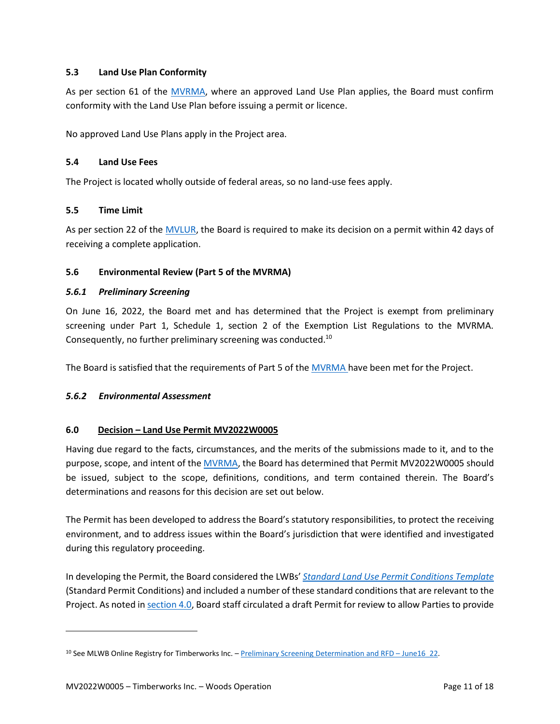### <span id="page-27-0"></span>**5.3 Land Use Plan Conformity**

As per section 61 of the [MVRMA,](http://laws-lois.justice.gc.ca/PDF/M-0.2.pdf) where an approved Land Use Plan applies, the Board must confirm conformity with the Land Use Plan before issuing a permit or licence.

No approved Land Use Plans apply in the Project area.

### <span id="page-27-1"></span>**5.4 Land Use Fees**

The Project is located wholly outside of federal areas, so no land-use fees apply.

### <span id="page-27-2"></span>**5.5 Time Limit**

As per section 22 of the [MVLUR,](http://laws-lois.justice.gc.ca/PDF/SOR-98-429.pdf) the Board is required to make its decision on a permit within 42 days of receiving a complete application.

### <span id="page-27-3"></span>**5.6 Environmental Review (Part 5 of the MVRMA)**

### <span id="page-27-4"></span>*5.6.1 Preliminary Screening*

On June 16, 2022, the Board met and has determined that the Project is exempt from preliminary screening under Part 1, Schedule 1, section 2 of the Exemption List Regulations to the MVRMA. Consequently, no further preliminary screening was conducted.<sup>10</sup>

The Board is satisfied that the requirements of Part 5 of th[e MVRMA](http://laws-lois.justice.gc.ca/PDF/M-0.2.pdf) have been met for the Project.

### <span id="page-27-5"></span>*5.6.2 Environmental Assessment*

### <span id="page-27-6"></span>**6.0 Decision – Land Use Permit MV2022W0005**

Having due regard to the facts, circumstances, and the merits of the submissions made to it, and to the purpose, scope, and intent of th[e MVRMA,](http://laws-lois.justice.gc.ca/PDF/M-0.2.pdf) the Board has determined that Permit MV2022W0005 should be issued, subject to the scope, definitions, conditions, and term contained therein. The Board's determinations and reasons for this decision are set out below.

The Permit has been developed to address the Board's statutory responsibilities, to protect the receiving environment, and to address issues within the Board's jurisdiction that were identified and investigated during this regulatory proceeding.

In developing the Permit, the Board considered the LWBs' *[Standard Land Use Permit Conditions Template](https://mvlwb.com/sites/default/files/standard_land_use_permit_conditions_template_-_public_version_2.3_-_aug_7_20.pdf)* (Standard Permit Conditions) and included a number of these standard conditions that are relevant to the Project. As noted in [section 4.0,](#page-24-0) Board staff circulated a draft Permit for review to allow Parties to provide

<sup>&</sup>lt;sup>10</sup> See MLWB Online Registry for Timberworks Inc. – [Preliminary Screening Determination and RFD](https://mvlwb.com/registry/MV2022W0005) – June16 22.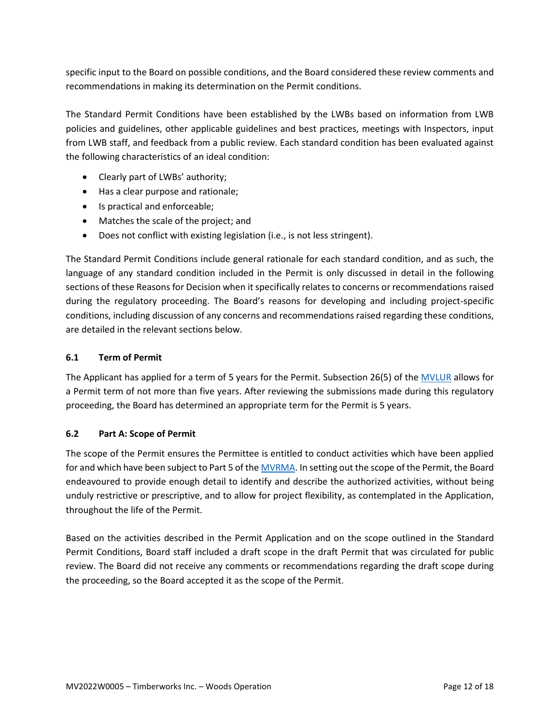specific input to the Board on possible conditions, and the Board considered these review comments and recommendations in making its determination on the Permit conditions.

The Standard Permit Conditions have been established by the LWBs based on information from LWB policies and guidelines, other applicable guidelines and best practices, meetings with Inspectors, input from LWB staff, and feedback from a public review. Each standard condition has been evaluated against the following characteristics of an ideal condition:

- Clearly part of LWBs' authority;
- Has a clear purpose and rationale;
- Is practical and enforceable;
- Matches the scale of the project; and
- Does not conflict with existing legislation (i.e., is not less stringent).

The Standard Permit Conditions include general rationale for each standard condition, and as such, the language of any standard condition included in the Permit is only discussed in detail in the following sections of these Reasons for Decision when it specifically relates to concerns or recommendations raised during the regulatory proceeding. The Board's reasons for developing and including project-specific conditions, including discussion of any concerns and recommendations raised regarding these conditions, are detailed in the relevant sections below.

#### <span id="page-28-0"></span>**6.1 Term of Permit**

The Applicant has applied for a term of 5 years for the Permit. Subsection 26(5) of the [MVLUR](http://laws-lois.justice.gc.ca/PDF/SOR-98-429.pdf) allows for a Permit term of not more than five years. After reviewing the submissions made during this regulatory proceeding, the Board has determined an appropriate term for the Permit is 5 years.

#### <span id="page-28-1"></span>**6.2 Part A: Scope of Permit**

The scope of the Permit ensures the Permittee is entitled to conduct activities which have been applied for and which have been subject to Part 5 of th[e MVRMA.](http://laws-lois.justice.gc.ca/PDF/M-0.2.pdf) In setting out the scope of the Permit, the Board endeavoured to provide enough detail to identify and describe the authorized activities, without being unduly restrictive or prescriptive, and to allow for project flexibility, as contemplated in the Application, throughout the life of the Permit.

Based on the activities described in the Permit Application and on the scope outlined in the Standard Permit Conditions, Board staff included a draft scope in the draft Permit that was circulated for public review. The Board did not receive any comments or recommendations regarding the draft scope during the proceeding, so the Board accepted it as the scope of the Permit.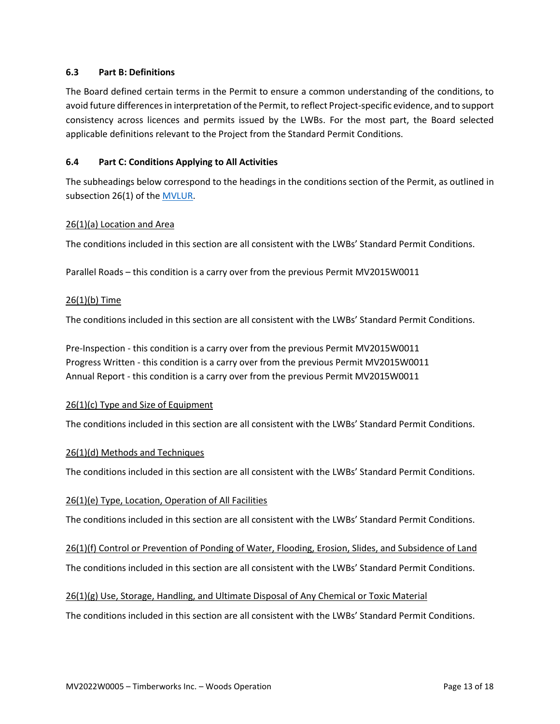#### <span id="page-29-0"></span>**6.3 Part B: Definitions**

The Board defined certain terms in the Permit to ensure a common understanding of the conditions, to avoid future differences in interpretation of the Permit, to reflect Project-specific evidence, and to support consistency across licences and permits issued by the LWBs. For the most part, the Board selected applicable definitions relevant to the Project from the Standard Permit Conditions.

#### <span id="page-29-1"></span>**6.4 Part C: Conditions Applying to All Activities**

The subheadings below correspond to the headings in the conditions section of the Permit, as outlined in subsection 26(1) of the **MVLUR**.

#### <span id="page-29-2"></span>26(1)(a) Location and Area

The conditions included in this section are all consistent with the LWBs' Standard Permit Conditions.

Parallel Roads – this condition is a carry over from the previous Permit MV2015W0011

#### <span id="page-29-3"></span>26(1)(b) Time

The conditions included in this section are all consistent with the LWBs' Standard Permit Conditions.

Pre-Inspection - this condition is a carry over from the previous Permit MV2015W0011 Progress Written - this condition is a carry over from the previous Permit MV2015W0011 Annual Report - this condition is a carry over from the previous Permit MV2015W0011

#### <span id="page-29-4"></span>26(1)(c) Type and Size of Equipment

The conditions included in this section are all consistent with the LWBs' Standard Permit Conditions.

#### <span id="page-29-5"></span>26(1)(d) Methods and Techniques

The conditions included in this section are all consistent with the LWBs' Standard Permit Conditions.

#### <span id="page-29-6"></span>26(1)(e) Type, Location, Operation of All Facilities

The conditions included in this section are all consistent with the LWBs' Standard Permit Conditions.

<span id="page-29-7"></span>26(1)(f) Control or Prevention of Ponding of Water, Flooding, Erosion, Slides, and Subsidence of Land

The conditions included in this section are all consistent with the LWBs' Standard Permit Conditions.

#### <span id="page-29-8"></span>26(1)(g) Use, Storage, Handling, and Ultimate Disposal of Any Chemical or Toxic Material

The conditions included in this section are all consistent with the LWBs' Standard Permit Conditions.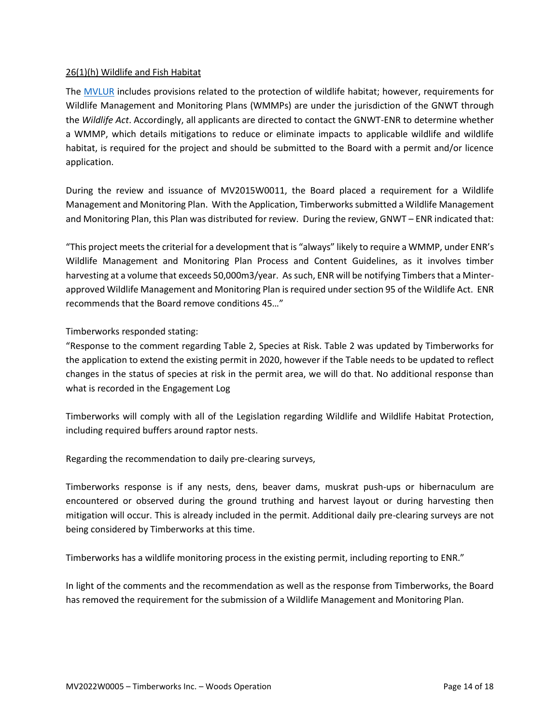### <span id="page-30-0"></span>26(1)(h) Wildlife and Fish Habitat

The [MVLUR](http://laws-lois.justice.gc.ca/PDF/SOR-98-429.pdf) includes provisions related to the protection of wildlife habitat; however, requirements for Wildlife Management and Monitoring Plans (WMMPs) are under the jurisdiction of the GNWT through the *Wildlife Act*. Accordingly, all applicants are directed to contact the GNWT-ENR to determine whether a WMMP, which details mitigations to reduce or eliminate impacts to applicable wildlife and wildlife habitat, is required for the project and should be submitted to the Board with a permit and/or licence application.

During the review and issuance of MV2015W0011, the Board placed a requirement for a Wildlife Management and Monitoring Plan. With the Application, Timberworkssubmitted a Wildlife Management and Monitoring Plan, this Plan was distributed for review. During the review, GNWT – ENR indicated that:

"This project meets the criterial for a development that is "always" likely to require a WMMP, under ENR's Wildlife Management and Monitoring Plan Process and Content Guidelines, as it involves timber harvesting at a volume that exceeds 50,000m3/year. As such, ENR will be notifying Timbers that a Minterapproved Wildlife Management and Monitoring Plan is required under section 95 of the Wildlife Act. ENR recommends that the Board remove conditions 45…"

#### Timberworks responded stating:

"Response to the comment regarding Table 2, Species at Risk. Table 2 was updated by Timberworks for the application to extend the existing permit in 2020, however if the Table needs to be updated to reflect changes in the status of species at risk in the permit area, we will do that. No additional response than what is recorded in the Engagement Log

Timberworks will comply with all of the Legislation regarding Wildlife and Wildlife Habitat Protection, including required buffers around raptor nests.

Regarding the recommendation to daily pre-clearing surveys,

Timberworks response is if any nests, dens, beaver dams, muskrat push-ups or hibernaculum are encountered or observed during the ground truthing and harvest layout or during harvesting then mitigation will occur. This is already included in the permit. Additional daily pre-clearing surveys are not being considered by Timberworks at this time.

Timberworks has a wildlife monitoring process in the existing permit, including reporting to ENR."

In light of the comments and the recommendation as well as the response from Timberworks, the Board has removed the requirement for the submission of a Wildlife Management and Monitoring Plan.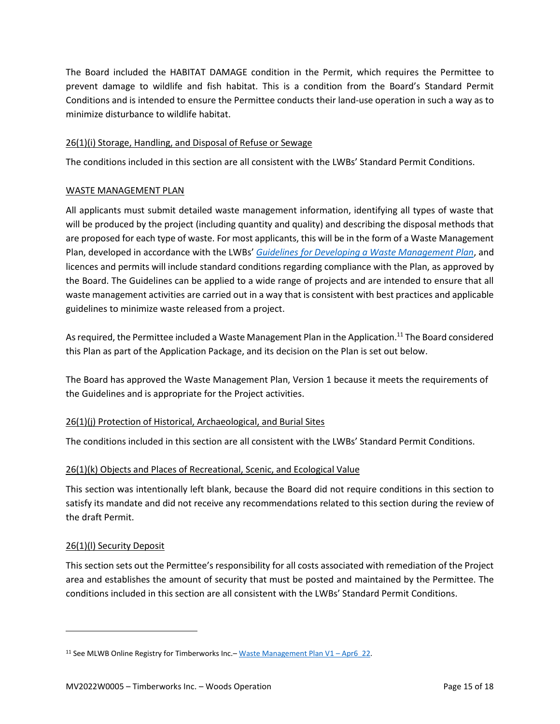The Board included the HABITAT DAMAGE condition in the Permit, which requires the Permittee to prevent damage to wildlife and fish habitat. This is a condition from the Board's Standard Permit Conditions and is intended to ensure the Permittee conducts their land-use operation in such a way as to minimize disturbance to wildlife habitat.

### <span id="page-31-0"></span>26(1)(i) Storage, Handling, and Disposal of Refuse or Sewage

The conditions included in this section are all consistent with the LWBs' Standard Permit Conditions.

### WASTE MANAGEMENT PLAN

All applicants must submit detailed waste management information, identifying all types of waste that will be produced by the project (including quantity and quality) and describing the disposal methods that are proposed for each type of waste. For most applicants, this will be in the form of a Waste Management Plan, developed in accordance with the LWBs' *[Guidelines for Developing a Waste Management Plan](https://mvlwb.com/sites/default/files/documents/MVLWB-Guidelines-for-Developing-a-Waste-Management-Plan-Mar-31_11-JCWG.pdf)*, and licences and permits will include standard conditions regarding compliance with the Plan, as approved by the Board. The Guidelines can be applied to a wide range of projects and are intended to ensure that all waste management activities are carried out in a way that is consistent with best practices and applicable guidelines to minimize waste released from a project.

As required, the Permittee included a Waste Management Plan in the Application.<sup>11</sup> The Board considered this Plan as part of the Application Package, and its decision on the Plan is set out below.

The Board has approved the Waste Management Plan, Version 1 because it meets the requirements of the Guidelines and is appropriate for the Project activities.

## <span id="page-31-1"></span>26(1)(j) Protection of Historical, Archaeological, and Burial Sites

The conditions included in this section are all consistent with the LWBs' Standard Permit Conditions.

## <span id="page-31-2"></span>26(1)(k) Objects and Places of Recreational, Scenic, and Ecological Value

This section was intentionally left blank, because the Board did not require conditions in this section to satisfy its mandate and did not receive any recommendations related to this section during the review of the draft Permit.

### <span id="page-31-3"></span>26(1)(l) Security Deposit

This section sets out the Permittee's responsibility for all costs associated with remediation of the Project area and establishes the amount of security that must be posted and maintained by the Permittee. The conditions included in this section are all consistent with the LWBs' Standard Permit Conditions.

<sup>&</sup>lt;sup>11</sup> See MLWB Online Registry for Timberworks Inc. – [Waste Management Plan V1](https://registry.mvlwb.ca/Documents/MV2022W0005/Timberworks%20-%20Waste%20Management%20Plan%20-%20Apr6_22.pdf) – Apr6 22.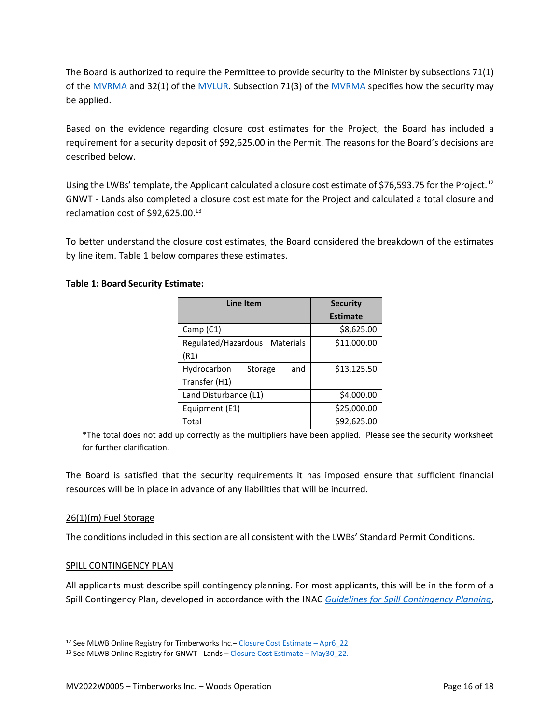The Board is authorized to require the Permittee to provide security to the Minister by subsections 71(1) of the [MVRMA](http://laws-lois.justice.gc.ca/PDF/M-0.2.pdf) and 32(1) of the [MVLUR.](http://laws-lois.justice.gc.ca/PDF/SOR-98-429.pdf) Subsection 71(3) of the [MVRMA](http://laws-lois.justice.gc.ca/PDF/M-0.2.pdf) specifies how the security may be applied.

Based on the evidence regarding closure cost estimates for the Project, the Board has included a requirement for a security deposit of \$92,625.00 in the Permit. The reasons for the Board's decisions are described below.

Using the LWBs' template, the Applicant calculated a closure cost estimate of \$76,593.75 for the Project.<sup>12</sup> GNWT - Lands also completed a closure cost estimate for the Project and calculated a total closure and reclamation cost of \$92,625.00.<sup>13</sup>

To better understand the closure cost estimates, the Board considered the breakdown of the estimates by line item. Table 1 below compares these estimates.

### **Table 1: Board Security Estimate:**

| <b>Line Item</b>              | <b>Security</b> |
|-------------------------------|-----------------|
|                               | <b>Estimate</b> |
| Camp (C1)                     | \$8,625.00      |
| Regulated/Hazardous Materials | \$11,000.00     |
| (R1)                          |                 |
| Hydrocarbon<br>and<br>Storage | \$13,125.50     |
| Transfer (H1)                 |                 |
| Land Disturbance (L1)         | \$4,000.00      |
| Equipment (E1)                | \$25,000.00     |
| Total                         | \$92,625.00     |

\*The total does not add up correctly as the multipliers have been applied. Please see the security worksheet for further clarification.

The Board is satisfied that the security requirements it has imposed ensure that sufficient financial resources will be in place in advance of any liabilities that will be incurred.

### <span id="page-32-0"></span>26(1)(m) Fuel Storage

The conditions included in this section are all consistent with the LWBs' Standard Permit Conditions.

### SPILL CONTINGENCY PLAN

All applicants must describe spill contingency planning. For most applicants, this will be in the form of a Spill Contingency Plan, developed in accordance with the INAC *[Guidelines for Spill Contingency Planning](https://mvlwb.com/sites/default/files/guidelines_for_spill_contingency_planning_2007.pdf)*,

<sup>12</sup> See MLWB Online Registry for Timberworks Inc.- [Closure Cost Estimate](https://registry.mvlwb.ca/Documents/MV2022W0005/Timberworks%20-%20Permit%20Security%20Estimate%20-%20Apr25_22.xls) - Apr6\_22

<sup>13</sup> See MLWB Online Registry for GNWT - Lands - [Closure Cost Estimate](https://new.onlinereviewsystem.ca/review/4E920AE1-8FCC-EC11-997E-CC60C843C6BF) - May30\_22.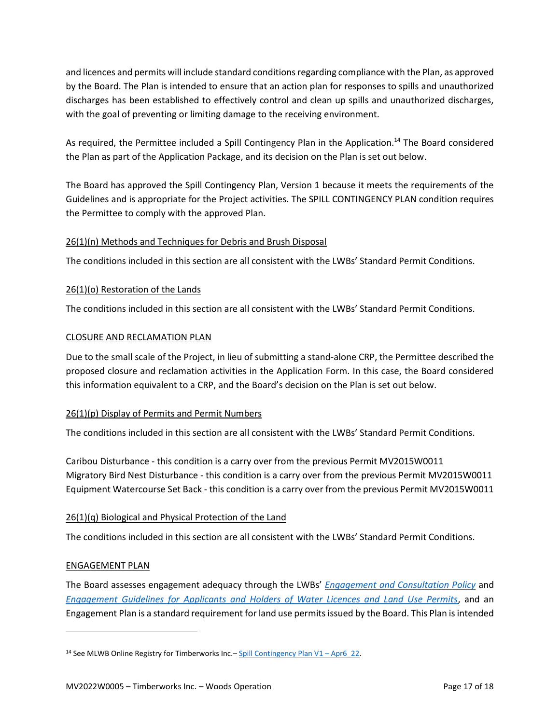and licences and permits will include standard conditions regarding compliance with the Plan, as approved by the Board. The Plan is intended to ensure that an action plan for responses to spills and unauthorized discharges has been established to effectively control and clean up spills and unauthorized discharges, with the goal of preventing or limiting damage to the receiving environment.

As required, the Permittee included a Spill Contingency Plan in the Application.<sup>14</sup> The Board considered the Plan as part of the Application Package, and its decision on the Plan is set out below.

The Board has approved the Spill Contingency Plan, Version 1 because it meets the requirements of the Guidelines and is appropriate for the Project activities. The SPILL CONTINGENCY PLAN condition requires the Permittee to comply with the approved Plan.

### <span id="page-33-0"></span>26(1)(n) Methods and Techniques for Debris and Brush Disposal

The conditions included in this section are all consistent with the LWBs' Standard Permit Conditions.

### <span id="page-33-1"></span>26(1)(o) Restoration of the Lands

The conditions included in this section are all consistent with the LWBs' Standard Permit Conditions.

#### CLOSURE AND RECLAMATION PLAN

Due to the small scale of the Project, in lieu of submitting a stand-alone CRP, the Permittee described the proposed closure and reclamation activities in the Application Form. In this case, the Board considered this information equivalent to a CRP, and the Board's decision on the Plan is set out below.

### <span id="page-33-2"></span>26(1)(p) Display of Permits and Permit Numbers

The conditions included in this section are all consistent with the LWBs' Standard Permit Conditions.

Caribou Disturbance - this condition is a carry over from the previous Permit MV2015W0011 Migratory Bird Nest Disturbance - this condition is a carry over from the previous Permit MV2015W0011 Equipment Watercourse Set Back - this condition is a carry over from the previous Permit MV2015W0011

### <span id="page-33-3"></span>26(1)(q) Biological and Physical Protection of the Land

The conditions included in this section are all consistent with the LWBs' Standard Permit Conditions.

### ENGAGEMENT PLAN

The Board assesses engagement adequacy through the LWBs' *[Engagement and Consultation Policy](https://mvlwb.com/sites/default/files/mvlwb_engagement_and_consultation_policy_-_nov_25_19.pdf)* and *[Engagement Guidelines for Applicants and Holders of Water Licences and Land Use Permits](https://mvlwb.com/sites/default/files/mvlwb_engagement_guidelines_for_holders_of_lups_and_wls_-_october_2_19.pdf)*, and an Engagement Plan is a standard requirement for land use permits issued by the Board. This Plan is intended

<sup>&</sup>lt;sup>14</sup> See MLWB Online Registry for Timberworks Inc. – [Spill Contingency Plan V1](https://registry.mvlwb.ca/Documents/MV2022W0005/Timberworks%20-%20Spill%20Contingency%20Plan%20-%20Apr6_22.pdf) – Apr6 22.